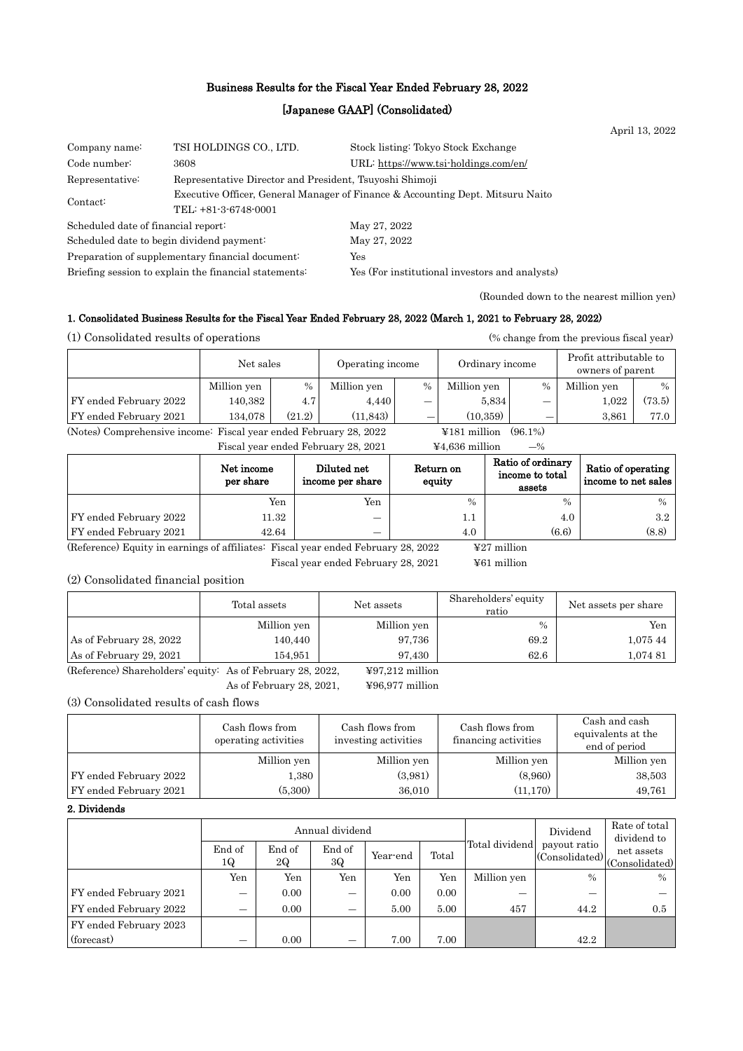## Business Results for the Fiscal Year Ended February 28, 2022

## [Japanese GAAP] (Consolidated)

April 13, 2022

| Company name:                                                              | TSI HOLDINGS CO., LTD.                                                         | Stock listing: Tokyo Stock Exchange            |  |  |  |
|----------------------------------------------------------------------------|--------------------------------------------------------------------------------|------------------------------------------------|--|--|--|
| Code number:                                                               | 3608                                                                           | URL: https://www.tsi-holdings.com/en/          |  |  |  |
| Representative Director and President, Tsuyoshi Shimoji<br>Representative: |                                                                                |                                                |  |  |  |
| Contact:                                                                   | Executive Officer, General Manager of Finance & Accounting Dept. Mitsuru Naito |                                                |  |  |  |
|                                                                            | TEL: +81-3-6748-0001                                                           |                                                |  |  |  |
| Scheduled date of financial report:                                        |                                                                                | May 27, 2022                                   |  |  |  |
| Scheduled date to begin dividend payment:                                  |                                                                                | May 27, 2022                                   |  |  |  |
|                                                                            | Preparation of supplementary financial document:                               | Yes                                            |  |  |  |
|                                                                            | Briefing session to explain the financial statements.                          | Yes (For institutional investors and analysts) |  |  |  |

(Rounded down to the nearest million yen)

#### 1. Consolidated Business Results for the Fiscal Year Ended February 28, 2022 (March 1, 2021 to February 28, 2022)

(1) Consolidated results of operations (% change from the previous fiscal year)

|                                                                                     | Net sales   |        | Operating income |      | Ordinary income |               | Profit attributable to<br>owners of parent |               |
|-------------------------------------------------------------------------------------|-------------|--------|------------------|------|-----------------|---------------|--------------------------------------------|---------------|
|                                                                                     | Million yen | $\%$   | Million yen      | $\%$ | Million yen     | $\frac{0}{0}$ | Million yen                                | $\frac{0}{0}$ |
| FY ended February 2022                                                              | 140,382     | 4.7    | 4.440            | —    | 5.834           |               | 1.022                                      | (73.5)        |
| FY ended February 2021                                                              | 134.078     | (21.2) | (11.843)         |      | (10.359)        | –             | 3.861                                      | 77.0          |
| (Notes) Comprehensive income: Fiscal year ended February 28, 2022<br>$4181$ million |             |        |                  |      | $(96.1\%)$      |               |                                            |               |

Fiscal year ended February 28, 2021  $\qquad \qquad \text{44.636 million} \qquad \text{--\%}$ 

|                        | Net income<br>per share | Diluted net<br>income per share | Return on<br>equity | Ratio of ordinary<br>income to total<br>assets | Ratio of operating<br>income to net sales |
|------------------------|-------------------------|---------------------------------|---------------------|------------------------------------------------|-------------------------------------------|
|                        | Yen                     | Yen                             | $\frac{0}{0}$       | $\%$                                           | $\frac{0}{0}$                             |
| FY ended February 2022 | 11.32                   | –                               | $1.1\,$             | 4.0                                            | 3.2                                       |
| FY ended February 2021 | 42.64                   | _                               | 4.0                 | (6.6)                                          | (8.8)                                     |

(Reference) Equity in earnings of affiliates: Fiscal year ended February 28, 2022  $\qquad\qquad$  ¥27 million

Fiscal year ended February 28, 2021 ¥61 million

## (2) Consolidated financial position

|                         | Total assets | Net assets  | Shareholders' equity<br>ratio | Net assets per share |
|-------------------------|--------------|-------------|-------------------------------|----------------------|
|                         | Million yen  | Million yen | $\%$                          | Yen                  |
| As of February 28, 2022 | 140,440      | 97,736      | 69.2                          | 1,075 44             |
| As of February 29, 2021 | 154,951      | 97.430      | 62.6                          | 1,074.81             |

(Reference) Shareholders' equity: As of February 28, 2022,  $\qquad$  ¥97,212 million

As of February 28, 2021, ¥96,977 million

(3) Consolidated results of cash flows

|                        | Cash flows from<br>operating activities | Cash flows from<br>investing activities | Cash flows from<br>financing activities | Cash and cash<br>equivalents at the<br>end of period |
|------------------------|-----------------------------------------|-----------------------------------------|-----------------------------------------|------------------------------------------------------|
|                        | Million yen                             | Million yen                             | Million yen                             | Million yen                                          |
| FY ended February 2022 | 1,380                                   | (3.981)                                 | (8,960)                                 | 38,503                                               |
| FY ended February 2021 | (5,300)                                 | 36,010                                  | (11, 170)                               | 49,761                                               |

#### 2. Dividends

|                        | Annual dividend |              |              |          |       |                | Dividend     | Rate of total<br>dividend to                                       |
|------------------------|-----------------|--------------|--------------|----------|-------|----------------|--------------|--------------------------------------------------------------------|
|                        | End of<br>1Q    | End of<br>2Q | End of<br>3Q | Year-end | Total | Total dividend | payout ratio | $\left \frac{\mu_{\alpha}^{(1)}(1)}{(\text{Consolidated})}\right $ |
|                        | Yen             | Yen          | Yen          | Yen      | Yen   | Million yen    | $\%$         | $\frac{0}{0}$                                                      |
| FY ended February 2021 | –               | 0.00         | _            | 0.00     | 0.00  | _              | --           |                                                                    |
| FY ended February 2022 | –               | 0.00         |              | 5.00     | 5.00  | 457            | 44.2         | 0.5                                                                |
| FY ended February 2023 |                 |              |              |          |       |                |              |                                                                    |
| (forecast)             | -               | 0.00         | –            | 7.00     | 7.00  |                | 42.2         |                                                                    |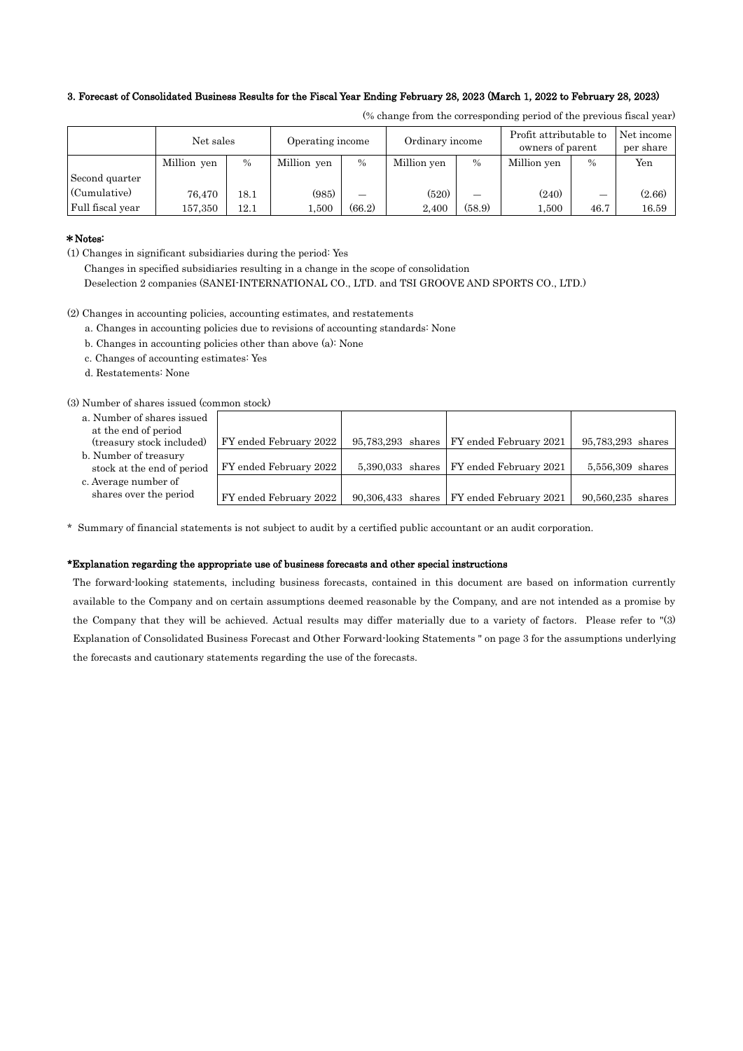#### 3. Forecast of Consolidated Business Results for the Fiscal Year Ending February 28, 2023 (March 1, 2022 to February 28, 2023)

|                  | Net sales   |      | Operating income |        | Ordinary income |        | Profit attributable to<br>owners of parent |               | Net income<br>per share |
|------------------|-------------|------|------------------|--------|-----------------|--------|--------------------------------------------|---------------|-------------------------|
|                  | Million yen | $\%$ | Million yen      | $\%$   | Million yen     | $\%$   | Million yen                                | $\frac{0}{0}$ | Yen                     |
| Second quarter   |             |      |                  |        |                 |        |                                            |               |                         |
| (Cumulative)     | 76.470      | 18.1 | (985)            | –      | (520)           | –      | (240)                                      | –             | (2.66)                  |
| Full fiscal year | 157,350     | 12.1 | .500             | (66.2) | 2.400           | (58.9) | 1,500                                      | 46.7          | 16.59                   |

(% change from the corresponding period of the previous fiscal year)

90,560,235 shares

## \*Notes:

(1) Changes in significant subsidiaries during the period: Yes

Changes in specified subsidiaries resulting in a change in the scope of consolidation

Deselection 2 companies (SANEI-INTERNATIONAL CO., LTD. and TSI GROOVE AND SPORTS CO., LTD.)

(2) Changes in accounting policies, accounting estimates, and restatements

- a. Changes in accounting policies due to revisions of accounting standards: None
- b. Changes in accounting policies other than above (a): None
- c. Changes of accounting estimates: Yes
- d. Restatements: None

(3) Number of shares issued (common stock)

- a. Number of shares issued at the end of period (treasury stock included) FY ended February 2022 95,783,293 shares FY ended February 2021 95,783,293 shares
- b. Number of treasury
- stock at the end of period FY ended February 2022  $\vert$  5,390,033 shares FY ended February 2021  $\vert$  5,556,309 shares c. Average number of
- shares over the period  $\boxed{\text{FY}$  ended February 2022  $\boxed{90,306,433}$  shares  $\boxed{\text{FY}}$  ended February 2021

\* Summary of financial statements is not subject to audit by a certified public accountant or an audit corporation.

#### \*Explanation regarding the appropriate use of business forecasts and other special instructions

The forward-looking statements, including business forecasts, contained in this document are based on information currently available to the Company and on certain assumptions deemed reasonable by the Company, and are not intended as a promise by the Company that they will be achieved. Actual results may differ materially due to a variety of factors. Please refer to "(3) Explanation of Consolidated Business Forecast and Other Forward-looking Statements " on page 3 for the assumptions underlying the forecasts and cautionary statements regarding the use of the forecasts.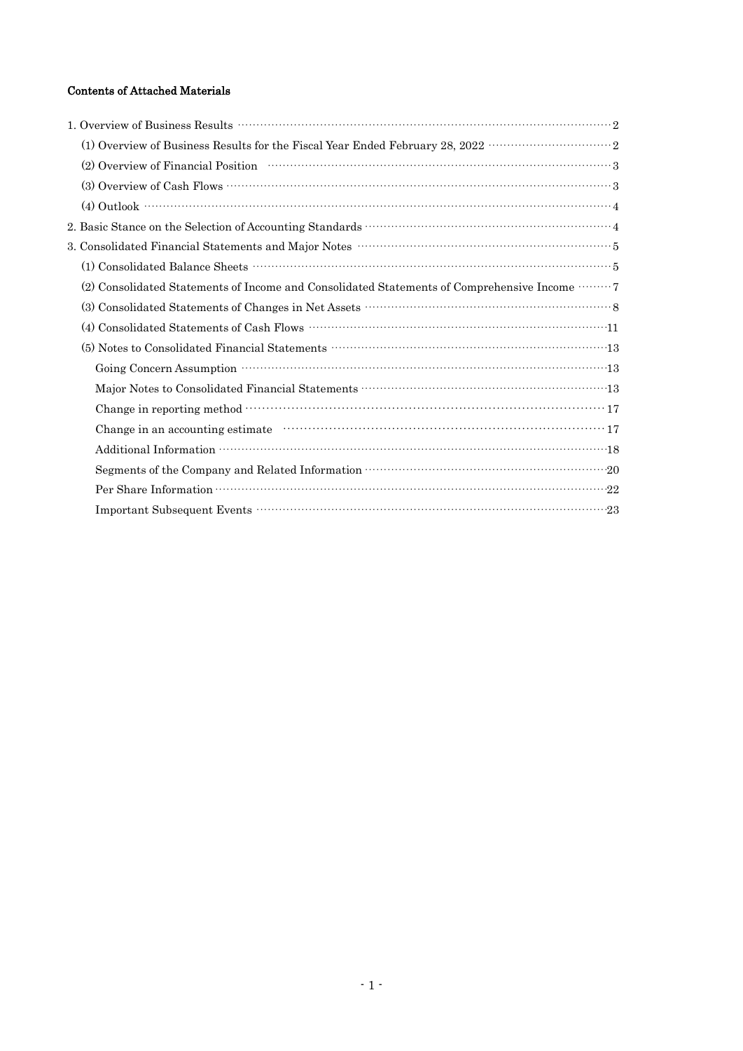# Contents of Attached Materials

| (1) Overview of Business Results for the Fiscal Year Ended February 28, 2022 $\cdots\cdots\cdots\cdots\cdots\cdots\cdots\cdots\cdots\cdots$ |
|---------------------------------------------------------------------------------------------------------------------------------------------|
| (2) Overview of Financial Position (2) Overview of Financial Position (3)                                                                   |
|                                                                                                                                             |
| $(4)$ Outlook $\cdots$ $4$                                                                                                                  |
|                                                                                                                                             |
|                                                                                                                                             |
|                                                                                                                                             |
| (2) Consolidated Statements of Income and Consolidated Statements of Comprehensive Income  7                                                |
|                                                                                                                                             |
|                                                                                                                                             |
|                                                                                                                                             |
|                                                                                                                                             |
|                                                                                                                                             |
|                                                                                                                                             |
|                                                                                                                                             |
|                                                                                                                                             |
|                                                                                                                                             |
|                                                                                                                                             |
|                                                                                                                                             |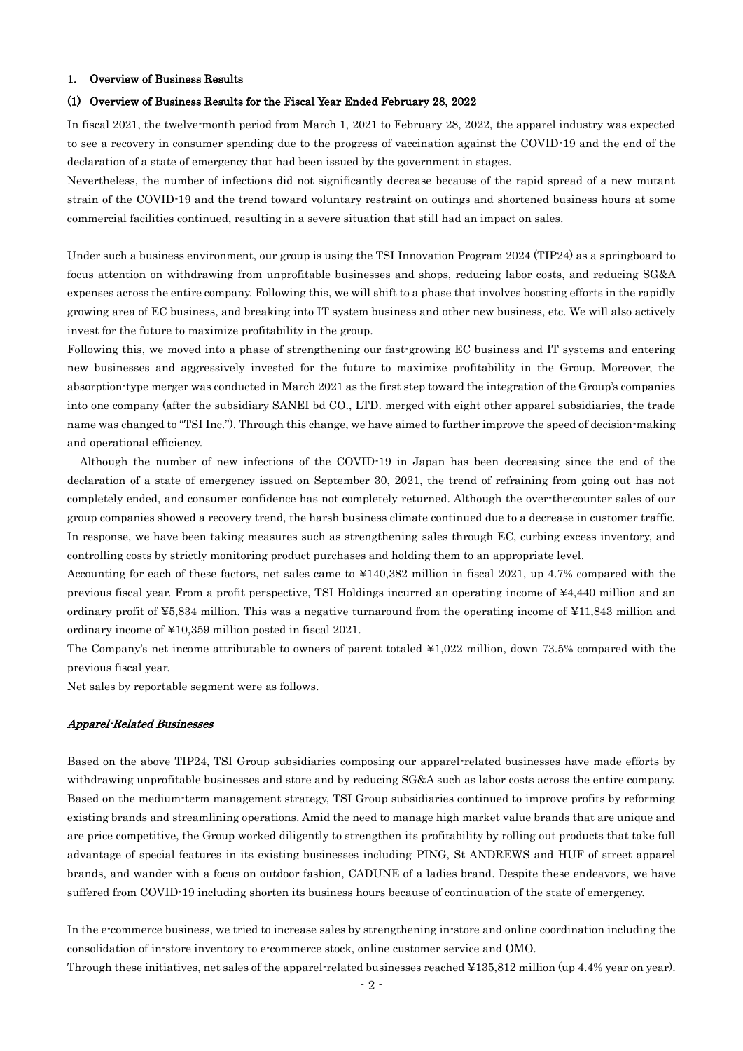#### 1. Overview of Business Results

#### (1) Overview of Business Results for the Fiscal Year Ended February 28, 2022

In fiscal 2021, the twelve-month period from March 1, 2021 to February 28, 2022, the apparel industry was expected to see a recovery in consumer spending due to the progress of vaccination against the COVID-19 and the end of the declaration of a state of emergency that had been issued by the government in stages.

Nevertheless, the number of infections did not significantly decrease because of the rapid spread of a new mutant strain of the COVID-19 and the trend toward voluntary restraint on outings and shortened business hours at some commercial facilities continued, resulting in a severe situation that still had an impact on sales.

Under such a business environment, our group is using the TSI Innovation Program 2024 (TIP24) as a springboard to focus attention on withdrawing from unprofitable businesses and shops, reducing labor costs, and reducing SG&A expenses across the entire company. Following this, we will shift to a phase that involves boosting efforts in the rapidly growing area of EC business, and breaking into IT system business and other new business, etc. We will also actively invest for the future to maximize profitability in the group.

Following this, we moved into a phase of strengthening our fast-growing EC business and IT systems and entering new businesses and aggressively invested for the future to maximize profitability in the Group. Moreover, the absorption-type merger was conducted in March 2021 as the first step toward the integration of the Group's companies into one company (after the subsidiary SANEI bd CO., LTD. merged with eight other apparel subsidiaries, the trade name was changed to "TSI Inc."). Through this change, we have aimed to further improve the speed of decision-making and operational efficiency.

Although the number of new infections of the COVID-19 in Japan has been decreasing since the end of the declaration of a state of emergency issued on September 30, 2021, the trend of refraining from going out has not completely ended, and consumer confidence has not completely returned. Although the over-the-counter sales of our group companies showed a recovery trend, the harsh business climate continued due to a decrease in customer traffic. In response, we have been taking measures such as strengthening sales through EC, curbing excess inventory, and controlling costs by strictly monitoring product purchases and holding them to an appropriate level.

Accounting for each of these factors, net sales came to ¥140,382 million in fiscal 2021, up 4.7% compared with the previous fiscal year. From a profit perspective, TSI Holdings incurred an operating income of ¥4,440 million and an ordinary profit of ¥5,834 million. This was a negative turnaround from the operating income of ¥11,843 million and ordinary income of ¥10,359 million posted in fiscal 2021.

The Company's net income attributable to owners of parent totaled ¥1,022 million, down 73.5% compared with the previous fiscal year.

Net sales by reportable segment were as follows.

#### Apparel-Related Businesses

Based on the above TIP24, TSI Group subsidiaries composing our apparel-related businesses have made efforts by withdrawing unprofitable businesses and store and by reducing SG&A such as labor costs across the entire company. Based on the medium-term management strategy, TSI Group subsidiaries continued to improve profits by reforming existing brands and streamlining operations. Amid the need to manage high market value brands that are unique and are price competitive, the Group worked diligently to strengthen its profitability by rolling out products that take full advantage of special features in its existing businesses including PING, St ANDREWS and HUF of street apparel brands, and wander with a focus on outdoor fashion, CADUNE of a ladies brand. Despite these endeavors, we have suffered from COVID-19 including shorten its business hours because of continuation of the state of emergency.

In the e-commerce business, we tried to increase sales by strengthening in-store and online coordination including the consolidation of in-store inventory to e-commerce stock, online customer service and OMO.

Through these initiatives, net sales of the apparel-related businesses reached ¥135,812 million (up 4.4% year on year).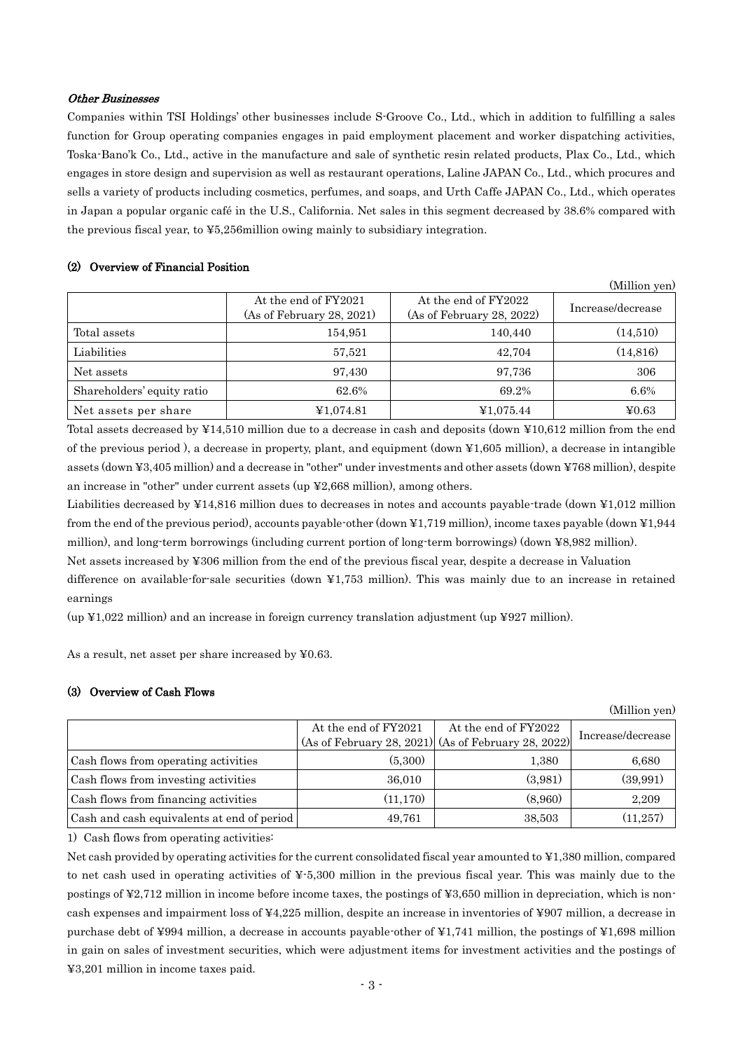#### Other Businesses

Companies within TSI Holdings' other businesses include S-Groove Co., Ltd., which in addition to fulfilling a sales function for Group operating companies engages in paid employment placement and worker dispatching activities, Toska-Bano'k Co., Ltd., active in the manufacture and sale of synthetic resin related products, Plax Co., Ltd., which engages in store design and supervision as well as restaurant operations, Laline JAPAN Co., Ltd., which procures and sells a variety of products including cosmetics, perfumes, and soaps, and Urth Caffe JAPAN Co., Ltd., which operates in Japan a popular organic café in the U.S., California. Net sales in this segment decreased by 38.6% compared with the previous fiscal year, to ¥5,256million owing mainly to subsidiary integration.

## (2) Overview of Financial Position

|                            |                                                   |                                                   | (Million yen)     |
|----------------------------|---------------------------------------------------|---------------------------------------------------|-------------------|
|                            | At the end of FY2021<br>(As of February 28, 2021) | At the end of FY2022<br>(As of February 28, 2022) | Increase/decrease |
| Total assets               | 154,951                                           | 140,440                                           | (14,510)          |
| Liabilities                | 57,521                                            | 42,704                                            | (14, 816)         |
| Net assets                 | 97,430                                            | 97,736                                            | 306               |
| Shareholders' equity ratio | 62.6%                                             | 69.2%                                             | 6.6%              |
| Net assets per share       | ¥1,074.81                                         | ¥1,075.44                                         | ¥0.63             |

Total assets decreased by ¥14,510 million due to a decrease in cash and deposits (down ¥10,612 million from the end of the previous period ), a decrease in property, plant, and equipment (down ¥1,605 million), a decrease in intangible assets (down ¥3,405 million) and a decrease in "other" under investments and other assets (down ¥768 million), despite an increase in "other" under current assets (up ¥2,668 million), among others.

Liabilities decreased by ¥14,816 million dues to decreases in notes and accounts payable-trade (down ¥1,012 million from the end of the previous period), accounts payable-other (down ¥1,719 million), income taxes payable (down ¥1,944 million), and long-term borrowings (including current portion of long-term borrowings) (down ¥8,982 million).

Net assets increased by ¥306 million from the end of the previous fiscal year, despite a decrease in Valuation

difference on available-for-sale securities (down ¥1,753 million). This was mainly due to an increase in retained earnings

 $\mu$  (up ¥1,022 million) and an increase in foreign currency translation adjustment (up ¥927 million).

As a result, net asset per share increased by ¥0.63.

## (3) Overview of Cash Flows

|                                            |                      |                                                       | (WHIIION Yen)     |
|--------------------------------------------|----------------------|-------------------------------------------------------|-------------------|
|                                            | At the end of FY2021 | At the end of FY2022                                  | Increase/decrease |
|                                            |                      | $(As of February 28, 2021)$ (As of February 28, 2022) |                   |
| Cash flows from operating activities       | (5,300)              | 1,380                                                 | 6,680             |
| Cash flows from investing activities       | 36,010               | (3,981)                                               | (39,991)          |
| Cash flows from financing activities       | (11, 170)            | (8,960)                                               | 2,209             |
| Cash and cash equivalents at end of period | 49,761               | 38,503                                                | (11, 257)         |

 $(x, t)$ 

1) Cash flows from operating activities:

Net cash provided by operating activities for the current consolidated fiscal year amounted to ¥1,380 million, compared to net cash used in operating activities of ¥-5,300 million in the previous fiscal year. This was mainly due to the postings of ¥2,712 million in income before income taxes, the postings of ¥3,650 million in depreciation, which is noncash expenses and impairment loss of ¥4,225 million, despite an increase in inventories of ¥907 million, a decrease in purchase debt of ¥994 million, a decrease in accounts payable-other of ¥1,741 million, the postings of ¥1,698 million in gain on sales of investment securities, which were adjustment items for investment activities and the postings of ¥3,201 million in income taxes paid.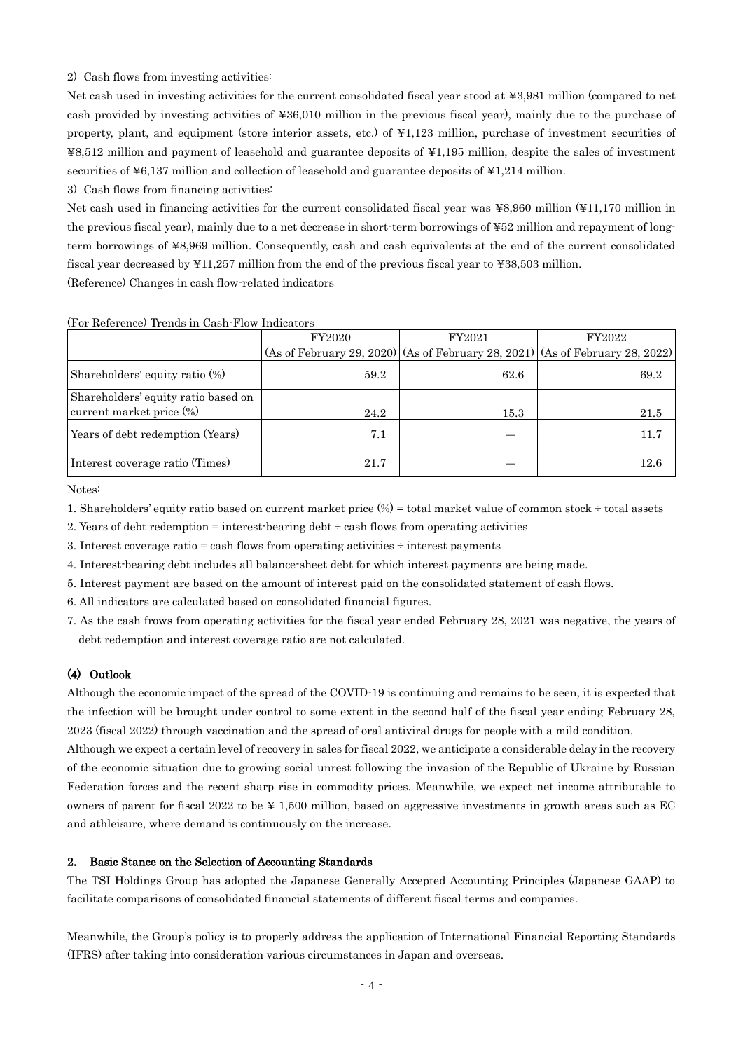#### 2) Cash flows from investing activities:

Net cash used in investing activities for the current consolidated fiscal year stood at ¥3,981 million (compared to net cash provided by investing activities of ¥36,010 million in the previous fiscal year), mainly due to the purchase of property, plant, and equipment (store interior assets, etc.) of ¥1,123 million, purchase of investment securities of ¥8,512 million and payment of leasehold and guarantee deposits of ¥1,195 million, despite the sales of investment securities of ¥6,137 million and collection of leasehold and guarantee deposits of ¥1,214 million.

3) Cash flows from financing activities:

Net cash used in financing activities for the current consolidated fiscal year was ¥8,960 million (¥11,170 million in the previous fiscal year), mainly due to a net decrease in short-term borrowings of ¥52 million and repayment of longterm borrowings of ¥8,969 million. Consequently, cash and cash equivalents at the end of the current consolidated fiscal year decreased by ¥11,257 million from the end of the previous fiscal year to ¥38,503 million. (Reference) Changes in cash flow-related indicators

FY2020 (As of February 29, 2020) (As of February 28, 2021) FY2021 FY2022 (As of February 28, 2022) Shareholders' equity ratio (%)  $59.2$  69.2 69.2 Shareholders' equity ratio based on current market price  $\binom{96}{}$  15.3  $\boxed{}$  21.5 Years of debt redemption (Years)  $\begin{array}{ccc} 7.1 & \end{array}$   $\begin{array}{ccc} 7.1 & \end{array}$   $\begin{array}{ccc} - & \end{array}$   $\begin{array}{ccc} 11.7 & \end{array}$ Interest coverage ratio (Times)  $21.7$   $-$  12.6

#### (For Reference) Trends in Cash-Flow Indicators

Notes:

1. Shareholders' equity ratio based on current market price (%) = total market value of common stock ÷ total assets

- 2. Years of debt redemption  $=$  interest-bearing debt  $\div$  cash flows from operating activities
- 3. Interest coverage ratio = cash flows from operating activities ÷ interest payments
- 4. Interest-bearing debt includes all balance-sheet debt for which interest payments are being made.
- 5. Interest payment are based on the amount of interest paid on the consolidated statement of cash flows.
- 6. All indicators are calculated based on consolidated financial figures.
- 7. As the cash frows from operating activities for the fiscal year ended February 28, 2021 was negative, the years of debt redemption and interest coverage ratio are not calculated.

#### (4) Outlook

Although the economic impact of the spread of the COVID-19 is continuing and remains to be seen, it is expected that the infection will be brought under control to some extent in the second half of the fiscal year ending February 28, 2023 (fiscal 2022) through vaccination and the spread of oral antiviral drugs for people with a mild condition.

Although we expect a certain level of recovery in sales for fiscal 2022, we anticipate a considerable delay in the recovery of the economic situation due to growing social unrest following the invasion of the Republic of Ukraine by Russian Federation forces and the recent sharp rise in commodity prices. Meanwhile, we expect net income attributable to owners of parent for fiscal 2022 to be ¥ 1,500 million, based on aggressive investments in growth areas such as EC and athleisure, where demand is continuously on the increase.

#### 2. Basic Stance on the Selection of Accounting Standards

The TSI Holdings Group has adopted the Japanese Generally Accepted Accounting Principles (Japanese GAAP) to facilitate comparisons of consolidated financial statements of different fiscal terms and companies.

Meanwhile, the Group's policy is to properly address the application of International Financial Reporting Standards (IFRS) after taking into consideration various circumstances in Japan and overseas.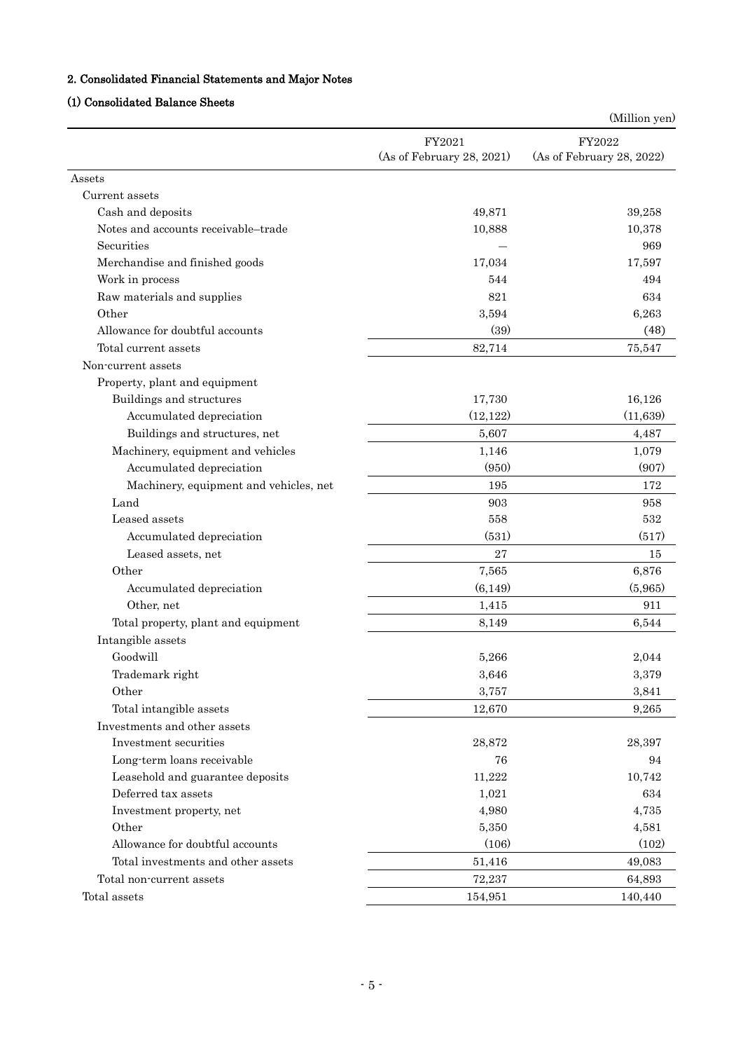# 2. Consolidated Financial Statements and Major Notes

# (1) Consolidated Balance Sheets

|                                        |                           | (Million yen)             |
|----------------------------------------|---------------------------|---------------------------|
|                                        | FY2021                    | FY2022                    |
|                                        | (As of February 28, 2021) | (As of February 28, 2022) |
| Assets                                 |                           |                           |
| Current assets                         |                           |                           |
| Cash and deposits                      | 49,871                    | 39,258                    |
| Notes and accounts receivable-trade    | 10,888                    | 10,378                    |
| Securities                             |                           | 969                       |
| Merchandise and finished goods         | 17,034                    | 17,597                    |
| Work in process                        | 544                       | 494                       |
| Raw materials and supplies             | 821                       | 634                       |
| Other                                  | 3,594                     | 6,263                     |
| Allowance for doubtful accounts        | (39)                      | (48)                      |
| Total current assets                   | 82,714                    | 75,547                    |
| Non-current assets                     |                           |                           |
| Property, plant and equipment          |                           |                           |
| Buildings and structures               | 17,730                    | 16,126                    |
| Accumulated depreciation               | (12, 122)                 | (11, 639)                 |
| Buildings and structures, net          | 5,607                     | 4,487                     |
| Machinery, equipment and vehicles      | 1,146                     | 1,079                     |
| Accumulated depreciation               | (950)                     | (907)                     |
| Machinery, equipment and vehicles, net | 195                       | 172                       |
| Land                                   | 903                       | 958                       |
| Leased assets                          | 558                       | 532                       |
| Accumulated depreciation               | (531)                     | (517)                     |
| Leased assets, net                     | 27                        | 15                        |
| Other                                  | 7,565                     | 6,876                     |
| Accumulated depreciation               | (6, 149)                  | (5,965)                   |
| Other, net                             | 1,415                     | 911                       |
| Total property, plant and equipment    | 8,149                     | 6,544                     |
| Intangible assets                      |                           |                           |
| Goodwill                               | 5,266                     | 2,044                     |
| Trademark right                        | 3,646                     | 3,379                     |
| Other                                  | 3,757                     | 3,841                     |
| Total intangible assets                | 12,670                    | 9,265                     |
| Investments and other assets           |                           |                           |
| Investment securities                  | 28,872                    | 28,397                    |
| Long-term loans receivable             | 76                        | 94                        |
| Leasehold and guarantee deposits       | 11,222                    | 10,742                    |
| Deferred tax assets                    | 1,021                     | 634                       |
| Investment property, net               | 4,980                     | 4,735                     |
| Other                                  | 5,350                     | 4,581                     |
| Allowance for doubtful accounts        | (106)                     | (102)                     |
| Total investments and other assets     | 51,416                    | 49,083                    |
| Total non-current assets               | 72,237                    | 64,893                    |
| Total assets                           | 154,951                   | 140,440                   |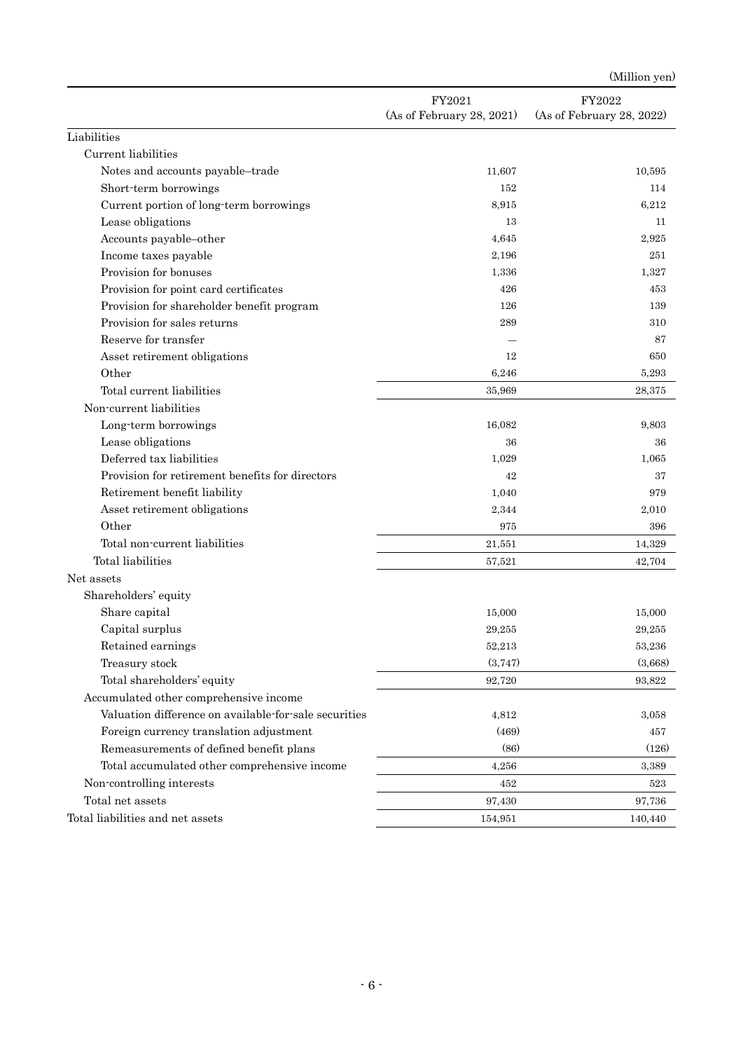|                                                       |                                     | (Million yen)                       |
|-------------------------------------------------------|-------------------------------------|-------------------------------------|
|                                                       | FY2021<br>(As of February 28, 2021) | FY2022<br>(As of February 28, 2022) |
| Liabilities                                           |                                     |                                     |
| Current liabilities                                   |                                     |                                     |
| Notes and accounts payable-trade                      | 11,607                              | 10,595                              |
| Short-term borrowings                                 | 152                                 | 114                                 |
| Current portion of long-term borrowings               | 8,915                               | 6,212                               |
| Lease obligations                                     | 13                                  | 11                                  |
| Accounts payable-other                                | 4,645                               | 2,925                               |
| Income taxes payable                                  | 2,196                               | 251                                 |
| Provision for bonuses                                 | 1,336                               | 1,327                               |
| Provision for point card certificates                 | 426                                 | 453                                 |
| Provision for shareholder benefit program             | 126                                 | 139                                 |
| Provision for sales returns                           | 289                                 | 310                                 |
| Reserve for transfer                                  |                                     | 87                                  |
| Asset retirement obligations                          | 12                                  | 650                                 |
| Other                                                 | 6,246                               | 5,293                               |
| Total current liabilities                             | 35.969                              | 28,375                              |
| Non-current liabilities                               |                                     |                                     |
| Long-term borrowings                                  | 16,082                              | 9,803                               |
| Lease obligations                                     | 36                                  | 36                                  |
| Deferred tax liabilities                              | 1,029                               | 1,065                               |
| Provision for retirement benefits for directors       | 42                                  | 37                                  |
| Retirement benefit liability                          | 1,040                               | 979                                 |
| Asset retirement obligations                          | 2,344                               | 2,010                               |
| Other                                                 | 975                                 | 396                                 |
| Total non-current liabilities                         | 21,551                              | 14,329                              |
| Total liabilities                                     | 57,521                              | 42,704                              |
| Net assets                                            |                                     |                                     |
| Shareholders' equity                                  |                                     |                                     |
| Share capital                                         | 15,000                              | 15,000                              |
| Capital surplus                                       | 29,255                              | 29,255                              |
| Retained earnings                                     | 52,213                              | 53,236                              |
| Treasury stock                                        | (3,747)                             | (3,668)                             |
| Total shareholders' equity                            | 92,720                              | 93,822                              |
| Accumulated other comprehensive income                |                                     |                                     |
| Valuation difference on available-for-sale securities | 4,812                               | 3,058                               |
| Foreign currency translation adjustment               | (469)                               | 457                                 |
| Remeasurements of defined benefit plans               | (86)                                | (126)                               |
| Total accumulated other comprehensive income          | 4,256                               | 3,389                               |
| Non-controlling interests                             | 452                                 | 523                                 |
| Total net assets                                      | 97,430                              | 97,736                              |
| Total liabilities and net assets                      | 154,951                             | 140,440                             |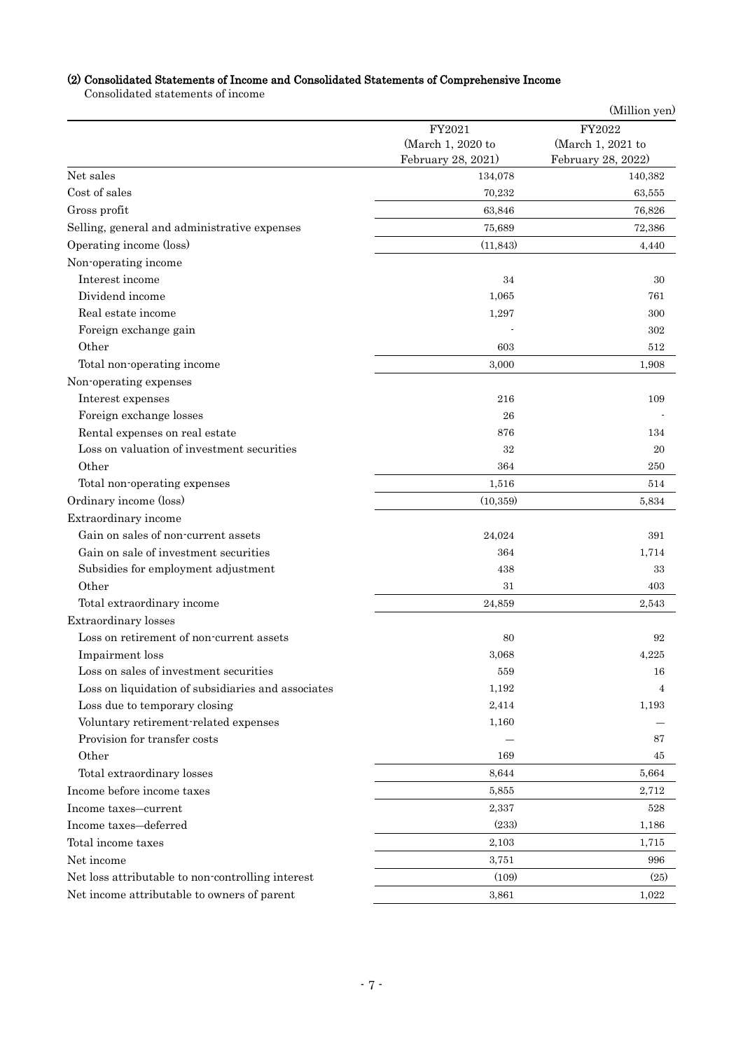# (2) Consolidated Statements of Income and Consolidated Statements of Comprehensive Income

Consolidated statements of income

| FY2022<br>FY2021<br>(March 1, 2020 to<br>(March 1, 2021 to<br>February 28, 2021)<br>February 28, 2022)<br>Net sales<br>134,078<br>140,382<br>Cost of sales<br>70,232<br>63,555<br>Gross profit<br>63,846<br>76,826<br>Selling, general and administrative expenses<br>75,689<br>72,386<br>Operating income (loss)<br>(11, 843)<br>4,440<br>Non-operating income<br>Interest income<br>34<br>30<br>Dividend income<br>1,065<br>761<br>Real estate income<br>1,297<br>300<br>Foreign exchange gain<br>302<br>Other<br>603<br>512<br>Total non-operating income<br>3,000<br>1,908<br>Non-operating expenses<br>Interest expenses<br>216<br>109<br>Foreign exchange losses<br>26<br>Rental expenses on real estate<br>876<br>134<br>Loss on valuation of investment securities<br>32<br>20<br>Other<br>364<br>250<br>Total non-operating expenses<br>1,516<br>514<br>Ordinary income (loss)<br>(10, 359)<br>5,834<br>Extraordinary income<br>Gain on sales of non-current assets<br>24,024<br>391<br>Gain on sale of investment securities<br>364<br>1,714<br>Subsidies for employment adjustment<br>438<br>33<br>Other<br>31<br>403<br>Total extraordinary income<br>24,859<br>2,543<br>Extraordinary losses<br>Loss on retirement of non-current assets<br>80<br>92<br>Impairment loss<br>3,068<br>4,225<br>Loss on sales of investment securities<br>559<br>16<br>Loss on liquidation of subsidiaries and associates<br>1,192<br>4<br>Loss due to temporary closing<br>2,414<br>1,193<br>Voluntary retirement-related expenses<br>1,160<br>Provision for transfer costs<br>87<br>Other<br>169<br>45<br>Total extraordinary losses<br>8,644<br>5,664<br>Income before income taxes<br>2,712<br>5,855<br>Income taxes-current<br>2,337<br>528<br>(233)<br>Income taxes-deferred<br>1,186<br>Total income taxes<br>2,103<br>1,715<br>Net income<br>3,751<br>996 |  | (Million yen) |
|-------------------------------------------------------------------------------------------------------------------------------------------------------------------------------------------------------------------------------------------------------------------------------------------------------------------------------------------------------------------------------------------------------------------------------------------------------------------------------------------------------------------------------------------------------------------------------------------------------------------------------------------------------------------------------------------------------------------------------------------------------------------------------------------------------------------------------------------------------------------------------------------------------------------------------------------------------------------------------------------------------------------------------------------------------------------------------------------------------------------------------------------------------------------------------------------------------------------------------------------------------------------------------------------------------------------------------------------------------------------------------------------------------------------------------------------------------------------------------------------------------------------------------------------------------------------------------------------------------------------------------------------------------------------------------------------------------------------------------------------------------------------------------------------------------------------------------------------------------------|--|---------------|
|                                                                                                                                                                                                                                                                                                                                                                                                                                                                                                                                                                                                                                                                                                                                                                                                                                                                                                                                                                                                                                                                                                                                                                                                                                                                                                                                                                                                                                                                                                                                                                                                                                                                                                                                                                                                                                                             |  |               |
|                                                                                                                                                                                                                                                                                                                                                                                                                                                                                                                                                                                                                                                                                                                                                                                                                                                                                                                                                                                                                                                                                                                                                                                                                                                                                                                                                                                                                                                                                                                                                                                                                                                                                                                                                                                                                                                             |  |               |
|                                                                                                                                                                                                                                                                                                                                                                                                                                                                                                                                                                                                                                                                                                                                                                                                                                                                                                                                                                                                                                                                                                                                                                                                                                                                                                                                                                                                                                                                                                                                                                                                                                                                                                                                                                                                                                                             |  |               |
|                                                                                                                                                                                                                                                                                                                                                                                                                                                                                                                                                                                                                                                                                                                                                                                                                                                                                                                                                                                                                                                                                                                                                                                                                                                                                                                                                                                                                                                                                                                                                                                                                                                                                                                                                                                                                                                             |  |               |
|                                                                                                                                                                                                                                                                                                                                                                                                                                                                                                                                                                                                                                                                                                                                                                                                                                                                                                                                                                                                                                                                                                                                                                                                                                                                                                                                                                                                                                                                                                                                                                                                                                                                                                                                                                                                                                                             |  |               |
|                                                                                                                                                                                                                                                                                                                                                                                                                                                                                                                                                                                                                                                                                                                                                                                                                                                                                                                                                                                                                                                                                                                                                                                                                                                                                                                                                                                                                                                                                                                                                                                                                                                                                                                                                                                                                                                             |  |               |
|                                                                                                                                                                                                                                                                                                                                                                                                                                                                                                                                                                                                                                                                                                                                                                                                                                                                                                                                                                                                                                                                                                                                                                                                                                                                                                                                                                                                                                                                                                                                                                                                                                                                                                                                                                                                                                                             |  |               |
|                                                                                                                                                                                                                                                                                                                                                                                                                                                                                                                                                                                                                                                                                                                                                                                                                                                                                                                                                                                                                                                                                                                                                                                                                                                                                                                                                                                                                                                                                                                                                                                                                                                                                                                                                                                                                                                             |  |               |
|                                                                                                                                                                                                                                                                                                                                                                                                                                                                                                                                                                                                                                                                                                                                                                                                                                                                                                                                                                                                                                                                                                                                                                                                                                                                                                                                                                                                                                                                                                                                                                                                                                                                                                                                                                                                                                                             |  |               |
|                                                                                                                                                                                                                                                                                                                                                                                                                                                                                                                                                                                                                                                                                                                                                                                                                                                                                                                                                                                                                                                                                                                                                                                                                                                                                                                                                                                                                                                                                                                                                                                                                                                                                                                                                                                                                                                             |  |               |
|                                                                                                                                                                                                                                                                                                                                                                                                                                                                                                                                                                                                                                                                                                                                                                                                                                                                                                                                                                                                                                                                                                                                                                                                                                                                                                                                                                                                                                                                                                                                                                                                                                                                                                                                                                                                                                                             |  |               |
|                                                                                                                                                                                                                                                                                                                                                                                                                                                                                                                                                                                                                                                                                                                                                                                                                                                                                                                                                                                                                                                                                                                                                                                                                                                                                                                                                                                                                                                                                                                                                                                                                                                                                                                                                                                                                                                             |  |               |
|                                                                                                                                                                                                                                                                                                                                                                                                                                                                                                                                                                                                                                                                                                                                                                                                                                                                                                                                                                                                                                                                                                                                                                                                                                                                                                                                                                                                                                                                                                                                                                                                                                                                                                                                                                                                                                                             |  |               |
|                                                                                                                                                                                                                                                                                                                                                                                                                                                                                                                                                                                                                                                                                                                                                                                                                                                                                                                                                                                                                                                                                                                                                                                                                                                                                                                                                                                                                                                                                                                                                                                                                                                                                                                                                                                                                                                             |  |               |
|                                                                                                                                                                                                                                                                                                                                                                                                                                                                                                                                                                                                                                                                                                                                                                                                                                                                                                                                                                                                                                                                                                                                                                                                                                                                                                                                                                                                                                                                                                                                                                                                                                                                                                                                                                                                                                                             |  |               |
|                                                                                                                                                                                                                                                                                                                                                                                                                                                                                                                                                                                                                                                                                                                                                                                                                                                                                                                                                                                                                                                                                                                                                                                                                                                                                                                                                                                                                                                                                                                                                                                                                                                                                                                                                                                                                                                             |  |               |
|                                                                                                                                                                                                                                                                                                                                                                                                                                                                                                                                                                                                                                                                                                                                                                                                                                                                                                                                                                                                                                                                                                                                                                                                                                                                                                                                                                                                                                                                                                                                                                                                                                                                                                                                                                                                                                                             |  |               |
|                                                                                                                                                                                                                                                                                                                                                                                                                                                                                                                                                                                                                                                                                                                                                                                                                                                                                                                                                                                                                                                                                                                                                                                                                                                                                                                                                                                                                                                                                                                                                                                                                                                                                                                                                                                                                                                             |  |               |
|                                                                                                                                                                                                                                                                                                                                                                                                                                                                                                                                                                                                                                                                                                                                                                                                                                                                                                                                                                                                                                                                                                                                                                                                                                                                                                                                                                                                                                                                                                                                                                                                                                                                                                                                                                                                                                                             |  |               |
|                                                                                                                                                                                                                                                                                                                                                                                                                                                                                                                                                                                                                                                                                                                                                                                                                                                                                                                                                                                                                                                                                                                                                                                                                                                                                                                                                                                                                                                                                                                                                                                                                                                                                                                                                                                                                                                             |  |               |
|                                                                                                                                                                                                                                                                                                                                                                                                                                                                                                                                                                                                                                                                                                                                                                                                                                                                                                                                                                                                                                                                                                                                                                                                                                                                                                                                                                                                                                                                                                                                                                                                                                                                                                                                                                                                                                                             |  |               |
|                                                                                                                                                                                                                                                                                                                                                                                                                                                                                                                                                                                                                                                                                                                                                                                                                                                                                                                                                                                                                                                                                                                                                                                                                                                                                                                                                                                                                                                                                                                                                                                                                                                                                                                                                                                                                                                             |  |               |
|                                                                                                                                                                                                                                                                                                                                                                                                                                                                                                                                                                                                                                                                                                                                                                                                                                                                                                                                                                                                                                                                                                                                                                                                                                                                                                                                                                                                                                                                                                                                                                                                                                                                                                                                                                                                                                                             |  |               |
|                                                                                                                                                                                                                                                                                                                                                                                                                                                                                                                                                                                                                                                                                                                                                                                                                                                                                                                                                                                                                                                                                                                                                                                                                                                                                                                                                                                                                                                                                                                                                                                                                                                                                                                                                                                                                                                             |  |               |
|                                                                                                                                                                                                                                                                                                                                                                                                                                                                                                                                                                                                                                                                                                                                                                                                                                                                                                                                                                                                                                                                                                                                                                                                                                                                                                                                                                                                                                                                                                                                                                                                                                                                                                                                                                                                                                                             |  |               |
|                                                                                                                                                                                                                                                                                                                                                                                                                                                                                                                                                                                                                                                                                                                                                                                                                                                                                                                                                                                                                                                                                                                                                                                                                                                                                                                                                                                                                                                                                                                                                                                                                                                                                                                                                                                                                                                             |  |               |
|                                                                                                                                                                                                                                                                                                                                                                                                                                                                                                                                                                                                                                                                                                                                                                                                                                                                                                                                                                                                                                                                                                                                                                                                                                                                                                                                                                                                                                                                                                                                                                                                                                                                                                                                                                                                                                                             |  |               |
|                                                                                                                                                                                                                                                                                                                                                                                                                                                                                                                                                                                                                                                                                                                                                                                                                                                                                                                                                                                                                                                                                                                                                                                                                                                                                                                                                                                                                                                                                                                                                                                                                                                                                                                                                                                                                                                             |  |               |
|                                                                                                                                                                                                                                                                                                                                                                                                                                                                                                                                                                                                                                                                                                                                                                                                                                                                                                                                                                                                                                                                                                                                                                                                                                                                                                                                                                                                                                                                                                                                                                                                                                                                                                                                                                                                                                                             |  |               |
|                                                                                                                                                                                                                                                                                                                                                                                                                                                                                                                                                                                                                                                                                                                                                                                                                                                                                                                                                                                                                                                                                                                                                                                                                                                                                                                                                                                                                                                                                                                                                                                                                                                                                                                                                                                                                                                             |  |               |
|                                                                                                                                                                                                                                                                                                                                                                                                                                                                                                                                                                                                                                                                                                                                                                                                                                                                                                                                                                                                                                                                                                                                                                                                                                                                                                                                                                                                                                                                                                                                                                                                                                                                                                                                                                                                                                                             |  |               |
|                                                                                                                                                                                                                                                                                                                                                                                                                                                                                                                                                                                                                                                                                                                                                                                                                                                                                                                                                                                                                                                                                                                                                                                                                                                                                                                                                                                                                                                                                                                                                                                                                                                                                                                                                                                                                                                             |  |               |
|                                                                                                                                                                                                                                                                                                                                                                                                                                                                                                                                                                                                                                                                                                                                                                                                                                                                                                                                                                                                                                                                                                                                                                                                                                                                                                                                                                                                                                                                                                                                                                                                                                                                                                                                                                                                                                                             |  |               |
|                                                                                                                                                                                                                                                                                                                                                                                                                                                                                                                                                                                                                                                                                                                                                                                                                                                                                                                                                                                                                                                                                                                                                                                                                                                                                                                                                                                                                                                                                                                                                                                                                                                                                                                                                                                                                                                             |  |               |
|                                                                                                                                                                                                                                                                                                                                                                                                                                                                                                                                                                                                                                                                                                                                                                                                                                                                                                                                                                                                                                                                                                                                                                                                                                                                                                                                                                                                                                                                                                                                                                                                                                                                                                                                                                                                                                                             |  |               |
|                                                                                                                                                                                                                                                                                                                                                                                                                                                                                                                                                                                                                                                                                                                                                                                                                                                                                                                                                                                                                                                                                                                                                                                                                                                                                                                                                                                                                                                                                                                                                                                                                                                                                                                                                                                                                                                             |  |               |
|                                                                                                                                                                                                                                                                                                                                                                                                                                                                                                                                                                                                                                                                                                                                                                                                                                                                                                                                                                                                                                                                                                                                                                                                                                                                                                                                                                                                                                                                                                                                                                                                                                                                                                                                                                                                                                                             |  |               |
|                                                                                                                                                                                                                                                                                                                                                                                                                                                                                                                                                                                                                                                                                                                                                                                                                                                                                                                                                                                                                                                                                                                                                                                                                                                                                                                                                                                                                                                                                                                                                                                                                                                                                                                                                                                                                                                             |  |               |
|                                                                                                                                                                                                                                                                                                                                                                                                                                                                                                                                                                                                                                                                                                                                                                                                                                                                                                                                                                                                                                                                                                                                                                                                                                                                                                                                                                                                                                                                                                                                                                                                                                                                                                                                                                                                                                                             |  |               |
|                                                                                                                                                                                                                                                                                                                                                                                                                                                                                                                                                                                                                                                                                                                                                                                                                                                                                                                                                                                                                                                                                                                                                                                                                                                                                                                                                                                                                                                                                                                                                                                                                                                                                                                                                                                                                                                             |  |               |
|                                                                                                                                                                                                                                                                                                                                                                                                                                                                                                                                                                                                                                                                                                                                                                                                                                                                                                                                                                                                                                                                                                                                                                                                                                                                                                                                                                                                                                                                                                                                                                                                                                                                                                                                                                                                                                                             |  |               |
|                                                                                                                                                                                                                                                                                                                                                                                                                                                                                                                                                                                                                                                                                                                                                                                                                                                                                                                                                                                                                                                                                                                                                                                                                                                                                                                                                                                                                                                                                                                                                                                                                                                                                                                                                                                                                                                             |  |               |
|                                                                                                                                                                                                                                                                                                                                                                                                                                                                                                                                                                                                                                                                                                                                                                                                                                                                                                                                                                                                                                                                                                                                                                                                                                                                                                                                                                                                                                                                                                                                                                                                                                                                                                                                                                                                                                                             |  |               |
|                                                                                                                                                                                                                                                                                                                                                                                                                                                                                                                                                                                                                                                                                                                                                                                                                                                                                                                                                                                                                                                                                                                                                                                                                                                                                                                                                                                                                                                                                                                                                                                                                                                                                                                                                                                                                                                             |  |               |
| (109)<br>Net loss attributable to non-controlling interest                                                                                                                                                                                                                                                                                                                                                                                                                                                                                                                                                                                                                                                                                                                                                                                                                                                                                                                                                                                                                                                                                                                                                                                                                                                                                                                                                                                                                                                                                                                                                                                                                                                                                                                                                                                                  |  | (25)          |
| Net income attributable to owners of parent<br>3,861<br>1,022                                                                                                                                                                                                                                                                                                                                                                                                                                                                                                                                                                                                                                                                                                                                                                                                                                                                                                                                                                                                                                                                                                                                                                                                                                                                                                                                                                                                                                                                                                                                                                                                                                                                                                                                                                                               |  |               |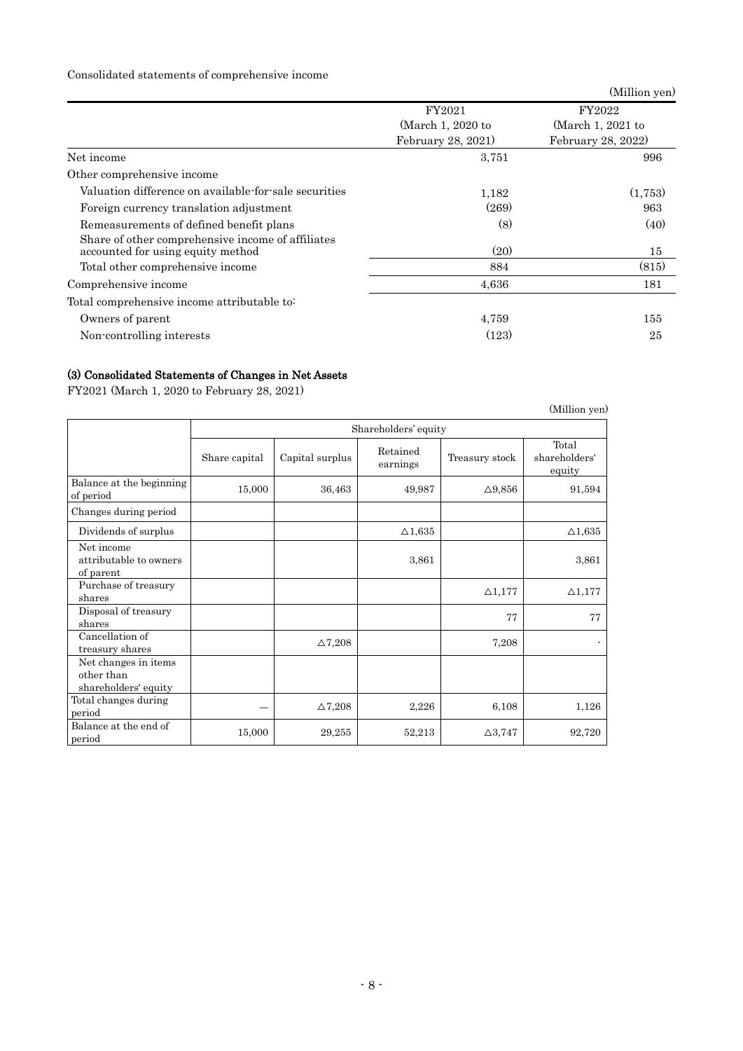## Consolidated statements of comprehensive income

|                                                                                        |                    | (Million yen)      |
|----------------------------------------------------------------------------------------|--------------------|--------------------|
|                                                                                        | FY2021             | FY2022             |
|                                                                                        | (March 1, 2020 to  | (March 1, 2021 to  |
|                                                                                        | February 28, 2021) | February 28, 2022) |
| Net income                                                                             | 3,751              | 996                |
| Other comprehensive income                                                             |                    |                    |
| Valuation difference on available-for-sale securities                                  | 1,182              | (1,753)            |
| Foreign currency translation adjustment                                                | (269)              | 963                |
| Remeasurements of defined benefit plans                                                | (8)                | (40)               |
| Share of other comprehensive income of affiliates<br>accounted for using equity method | (20)               | 15                 |
| Total other comprehensive income                                                       | 884                | (815)              |
| Comprehensive income                                                                   | 4,636              | 181                |
| Total comprehensive income attributable to:                                            |                    |                    |
| Owners of parent                                                                       | 4,759              | 155                |
| Non-controlling interests                                                              | (123)              | 25                 |

# (3) Consolidated Statements of Changes in Net Assets

FY2021 (March 1, 2020 to February 28, 2021)

|                                                            |               |                 |                      |                   | (Million yen)                    |
|------------------------------------------------------------|---------------|-----------------|----------------------|-------------------|----------------------------------|
|                                                            |               |                 | Shareholders' equity |                   |                                  |
|                                                            | Share capital | Capital surplus | Retained<br>earnings | Treasury stock    | Total<br>shareholders'<br>equity |
| Balance at the beginning<br>of period                      | 15,000        | 36,463          | 49,987               | $\Delta$ 9,856    | 91,594                           |
| Changes during period                                      |               |                 |                      |                   |                                  |
| Dividends of surplus                                       |               |                 | $\triangle$ 1,635    |                   | $\Delta1,635$                    |
| Net income<br>attributable to owners<br>of parent          |               |                 | 3,861                |                   | 3,861                            |
| Purchase of treasury<br>shares                             |               |                 |                      | $\triangle$ 1,177 | $\triangle$ 1,177                |
| Disposal of treasury<br>shares                             |               |                 |                      | 77                | 77                               |
| Cancellation of<br>treasury shares                         |               | $\Delta$ 7,208  |                      | 7,208             |                                  |
| Net changes in items<br>other than<br>shareholders' equity |               |                 |                      |                   |                                  |
| Total changes during<br>period                             |               | $\Delta$ 7,208  | 2,226                | 6,108             | 1,126                            |
| Balance at the end of<br>period                            | 15,000        | 29,255          | 52,213               | $\Delta 3,747$    | 92,720                           |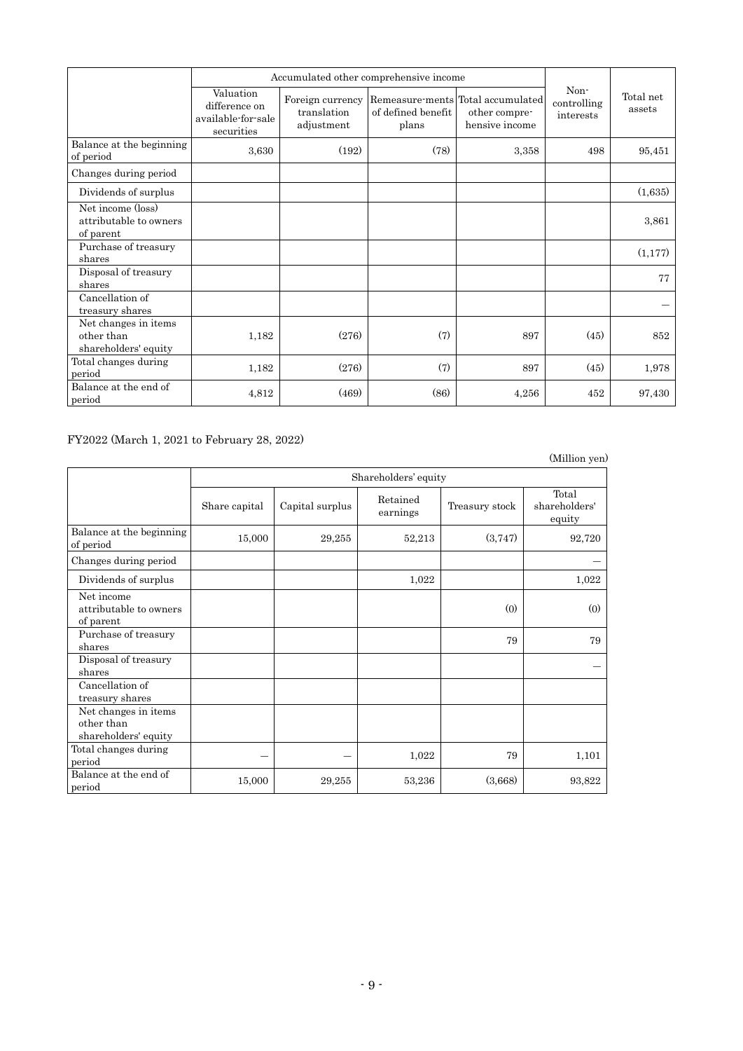|                                                            | Accumulated other comprehensive income                         |                                               |                             |                                                                      |                                  |                     |
|------------------------------------------------------------|----------------------------------------------------------------|-----------------------------------------------|-----------------------------|----------------------------------------------------------------------|----------------------------------|---------------------|
|                                                            | Valuation<br>difference on<br>available-for-sale<br>securities | Foreign currency<br>translation<br>adjustment | of defined benefit<br>plans | Remeasure-ments Total accumulated<br>other compre-<br>hensive income | Non-<br>controlling<br>interests | Total net<br>assets |
| Balance at the beginning<br>of period                      | 3,630                                                          | (192)                                         | (78)                        | 3,358                                                                | 498                              | 95,451              |
| Changes during period                                      |                                                                |                                               |                             |                                                                      |                                  |                     |
| Dividends of surplus                                       |                                                                |                                               |                             |                                                                      |                                  | (1,635)             |
| Net income (loss)<br>attributable to owners<br>of parent   |                                                                |                                               |                             |                                                                      |                                  | 3,861               |
| Purchase of treasury<br>shares                             |                                                                |                                               |                             |                                                                      |                                  | (1,177)             |
| Disposal of treasury<br>shares                             |                                                                |                                               |                             |                                                                      |                                  | 77                  |
| Cancellation of<br>treasury shares                         |                                                                |                                               |                             |                                                                      |                                  |                     |
| Net changes in items<br>other than<br>shareholders' equity | 1,182                                                          | (276)                                         | (7)                         | 897                                                                  | (45)                             | 852                 |
| Total changes during<br>period                             | 1,182                                                          | (276)                                         | (7)                         | 897                                                                  | (45)                             | 1,978               |
| Balance at the end of<br>period                            | 4,812                                                          | (469)                                         | (86)                        | 4,256                                                                | 452                              | 97,430              |

FY2022 (March 1, 2021 to February 28, 2022)

|                                                            |               |                 |                      |                | (Million yen)                    |
|------------------------------------------------------------|---------------|-----------------|----------------------|----------------|----------------------------------|
|                                                            |               |                 | Shareholders' equity |                |                                  |
|                                                            | Share capital | Capital surplus | Retained<br>earnings | Treasury stock | Total<br>shareholders'<br>equity |
| Balance at the beginning<br>of period                      | 15,000        | 29,255          | 52,213               | (3,747)        | 92,720                           |
| Changes during period                                      |               |                 |                      |                |                                  |
| Dividends of surplus                                       |               |                 | 1,022                |                | 1,022                            |
| Net income<br>attributable to owners<br>of parent          |               |                 |                      | (0)            | (0)                              |
| Purchase of treasury<br>shares                             |               |                 |                      | 79             | 79                               |
| Disposal of treasury<br>shares                             |               |                 |                      |                |                                  |
| Cancellation of<br>treasury shares                         |               |                 |                      |                |                                  |
| Net changes in items<br>other than<br>shareholders' equity |               |                 |                      |                |                                  |
| Total changes during<br>period                             |               |                 | 1,022                | 79             | 1,101                            |
| Balance at the end of<br>period                            | 15,000        | 29,255          | 53,236               | (3,668)        | 93,822                           |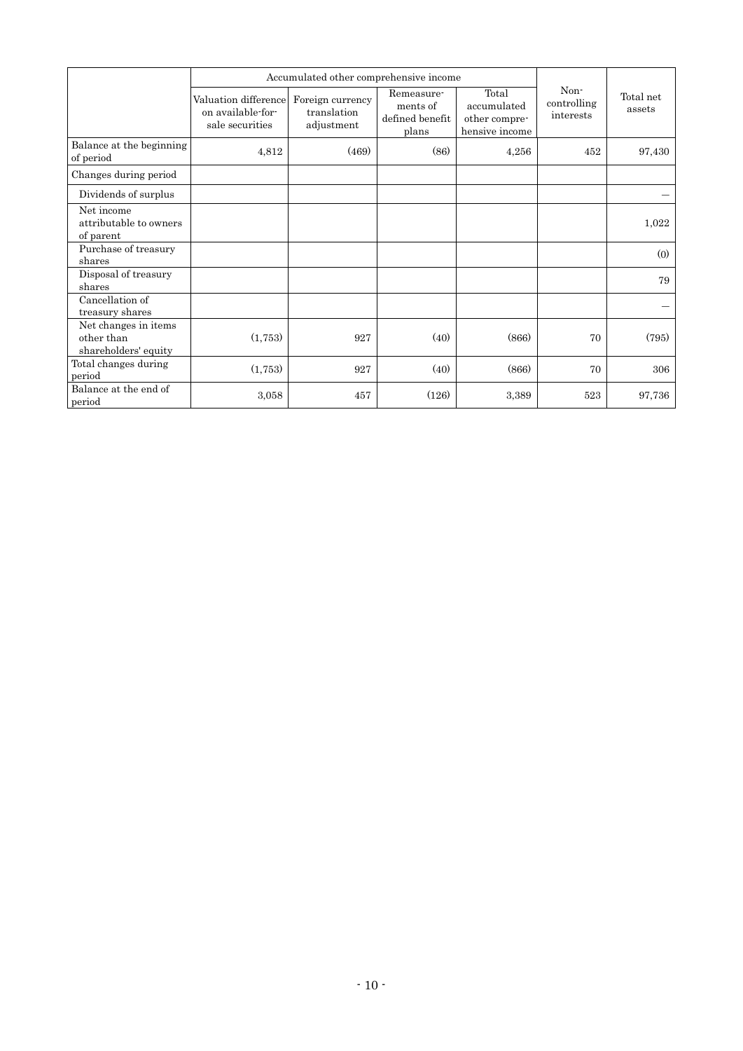|                                                            | Accumulated other comprehensive income                       |                                               |                                                    |                                                         |                                  |                     |
|------------------------------------------------------------|--------------------------------------------------------------|-----------------------------------------------|----------------------------------------------------|---------------------------------------------------------|----------------------------------|---------------------|
|                                                            | Valuation difference<br>on available-for-<br>sale securities | Foreign currency<br>translation<br>adjustment | Remeasure-<br>ments of<br>defined benefit<br>plans | Total<br>accumulated<br>other compre-<br>hensive income | Non-<br>controlling<br>interests | Total net<br>assets |
| Balance at the beginning<br>of period                      | 4,812                                                        | (469)                                         | (86)                                               | 4,256                                                   | 452                              | 97,430              |
| Changes during period                                      |                                                              |                                               |                                                    |                                                         |                                  |                     |
| Dividends of surplus                                       |                                                              |                                               |                                                    |                                                         |                                  |                     |
| Net income<br>attributable to owners<br>of parent          |                                                              |                                               |                                                    |                                                         |                                  | 1,022               |
| Purchase of treasury<br>shares                             |                                                              |                                               |                                                    |                                                         |                                  | (0)                 |
| Disposal of treasury<br>shares                             |                                                              |                                               |                                                    |                                                         |                                  | 79                  |
| Cancellation of<br>treasury shares                         |                                                              |                                               |                                                    |                                                         |                                  |                     |
| Net changes in items<br>other than<br>shareholders' equity | (1,753)                                                      | 927                                           | (40)                                               | (866)                                                   | 70                               | (795)               |
| Total changes during<br>period                             | (1,753)                                                      | 927                                           | (40)                                               | (866)                                                   | 70                               | 306                 |
| Balance at the end of<br>period                            | 3.058                                                        | 457                                           | (126)                                              | 3,389                                                   | 523                              | 97,736              |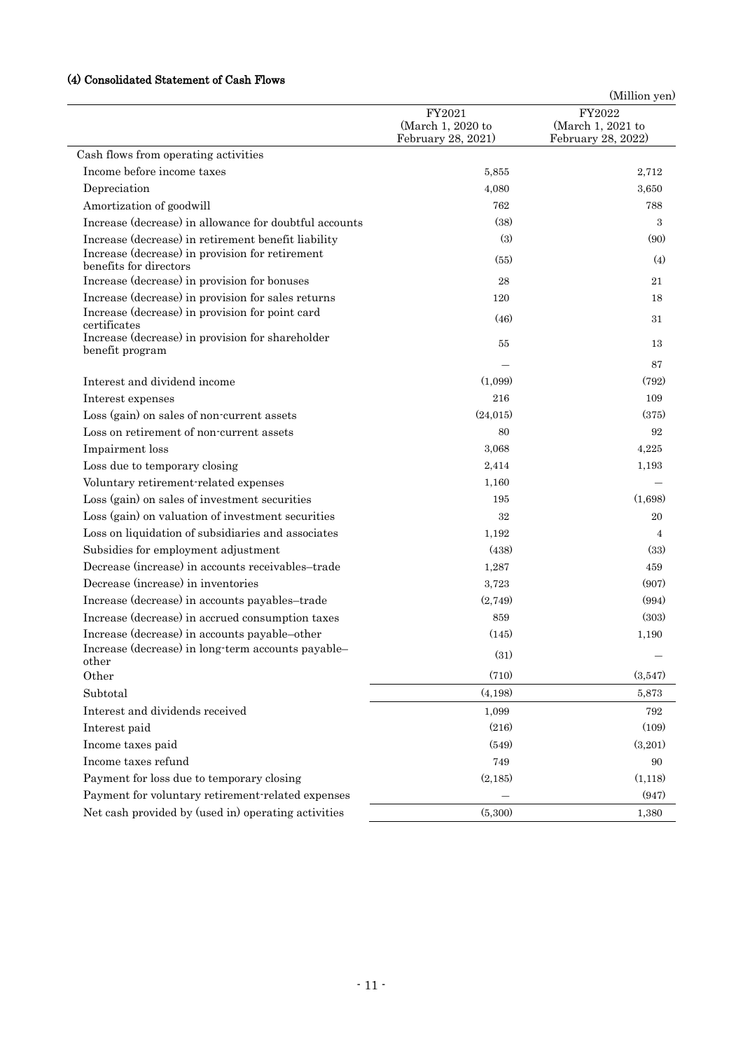## (4) Consolidated Statement of Cash Flows

| FY2022<br>FY2021<br>(March 1, 2020 to<br>(March 1, 2021 to<br>February 28, 2021)<br>February 28, 2022)<br>Cash flows from operating activities<br>Income before income taxes<br>5,855<br>2,712<br>Depreciation<br>4,080<br>3,650<br>Amortization of goodwill<br>762<br>788<br>Increase (decrease) in allowance for doubtful accounts<br>(38)<br>3<br>(3)<br>Increase (decrease) in retirement benefit liability<br>(90)<br>Increase (decrease) in provision for retirement<br>(55)<br>(4)<br>benefits for directors<br>Increase (decrease) in provision for bonuses<br>28<br>21<br>Increase (decrease) in provision for sales returns<br>120<br>18<br>Increase (decrease) in provision for point card<br>(46)<br>31<br>certificates<br>Increase (decrease) in provision for shareholder<br>55<br>13<br>benefit program<br>87<br>Interest and dividend income<br>(1,099)<br>(792)<br>216<br>109<br>Interest expenses<br>Loss (gain) on sales of non-current assets<br>(24, 015)<br>(375)<br>Loss on retirement of non-current assets<br>80<br>92<br>Impairment loss<br>3,068<br>4,225<br>Loss due to temporary closing<br>2,414<br>1,193<br>Voluntary retirement-related expenses<br>1,160<br>Loss (gain) on sales of investment securities<br>195<br>(1,698)<br>Loss (gain) on valuation of investment securities<br>32<br>20<br>Loss on liquidation of subsidiaries and associates<br>1,192<br>4<br>(438)<br>(33)<br>Subsidies for employment adjustment<br>Decrease (increase) in accounts receivables-trade<br>459<br>1,287<br>Decrease (increase) in inventories<br>3,723<br>(907)<br>Increase (decrease) in accounts payables-trade<br>(2,749)<br>(994)<br>Increase (decrease) in accrued consumption taxes<br>(303)<br>859<br>Increase (decrease) in accounts payable-other<br>(145)<br>1,190<br>Increase (decrease) in long-term accounts payable-<br>(31)<br>other<br>Other<br>(710)<br>(3,547)<br>Subtotal<br>(4,198)<br>5,873<br>Interest and dividends received<br>1,099<br>792<br>(216)<br>(109)<br>Interest paid<br>(549)<br>(3,201)<br>Income taxes paid<br>Income taxes refund<br>749<br>90<br>Payment for loss due to temporary closing<br>(2,185)<br>(1,118)<br>(947)<br>Payment for voluntary retirement-related expenses<br>Net cash provided by (used in) operating activities<br>(5,300)<br>1,380 |  | (Million yen) |
|------------------------------------------------------------------------------------------------------------------------------------------------------------------------------------------------------------------------------------------------------------------------------------------------------------------------------------------------------------------------------------------------------------------------------------------------------------------------------------------------------------------------------------------------------------------------------------------------------------------------------------------------------------------------------------------------------------------------------------------------------------------------------------------------------------------------------------------------------------------------------------------------------------------------------------------------------------------------------------------------------------------------------------------------------------------------------------------------------------------------------------------------------------------------------------------------------------------------------------------------------------------------------------------------------------------------------------------------------------------------------------------------------------------------------------------------------------------------------------------------------------------------------------------------------------------------------------------------------------------------------------------------------------------------------------------------------------------------------------------------------------------------------------------------------------------------------------------------------------------------------------------------------------------------------------------------------------------------------------------------------------------------------------------------------------------------------------------------------------------------------------------------------------------------------------------------------------------------------------------------------------------------------------------------------------------------|--|---------------|
|                                                                                                                                                                                                                                                                                                                                                                                                                                                                                                                                                                                                                                                                                                                                                                                                                                                                                                                                                                                                                                                                                                                                                                                                                                                                                                                                                                                                                                                                                                                                                                                                                                                                                                                                                                                                                                                                                                                                                                                                                                                                                                                                                                                                                                                                                                                        |  |               |
|                                                                                                                                                                                                                                                                                                                                                                                                                                                                                                                                                                                                                                                                                                                                                                                                                                                                                                                                                                                                                                                                                                                                                                                                                                                                                                                                                                                                                                                                                                                                                                                                                                                                                                                                                                                                                                                                                                                                                                                                                                                                                                                                                                                                                                                                                                                        |  |               |
|                                                                                                                                                                                                                                                                                                                                                                                                                                                                                                                                                                                                                                                                                                                                                                                                                                                                                                                                                                                                                                                                                                                                                                                                                                                                                                                                                                                                                                                                                                                                                                                                                                                                                                                                                                                                                                                                                                                                                                                                                                                                                                                                                                                                                                                                                                                        |  |               |
|                                                                                                                                                                                                                                                                                                                                                                                                                                                                                                                                                                                                                                                                                                                                                                                                                                                                                                                                                                                                                                                                                                                                                                                                                                                                                                                                                                                                                                                                                                                                                                                                                                                                                                                                                                                                                                                                                                                                                                                                                                                                                                                                                                                                                                                                                                                        |  |               |
|                                                                                                                                                                                                                                                                                                                                                                                                                                                                                                                                                                                                                                                                                                                                                                                                                                                                                                                                                                                                                                                                                                                                                                                                                                                                                                                                                                                                                                                                                                                                                                                                                                                                                                                                                                                                                                                                                                                                                                                                                                                                                                                                                                                                                                                                                                                        |  |               |
|                                                                                                                                                                                                                                                                                                                                                                                                                                                                                                                                                                                                                                                                                                                                                                                                                                                                                                                                                                                                                                                                                                                                                                                                                                                                                                                                                                                                                                                                                                                                                                                                                                                                                                                                                                                                                                                                                                                                                                                                                                                                                                                                                                                                                                                                                                                        |  |               |
|                                                                                                                                                                                                                                                                                                                                                                                                                                                                                                                                                                                                                                                                                                                                                                                                                                                                                                                                                                                                                                                                                                                                                                                                                                                                                                                                                                                                                                                                                                                                                                                                                                                                                                                                                                                                                                                                                                                                                                                                                                                                                                                                                                                                                                                                                                                        |  |               |
|                                                                                                                                                                                                                                                                                                                                                                                                                                                                                                                                                                                                                                                                                                                                                                                                                                                                                                                                                                                                                                                                                                                                                                                                                                                                                                                                                                                                                                                                                                                                                                                                                                                                                                                                                                                                                                                                                                                                                                                                                                                                                                                                                                                                                                                                                                                        |  |               |
|                                                                                                                                                                                                                                                                                                                                                                                                                                                                                                                                                                                                                                                                                                                                                                                                                                                                                                                                                                                                                                                                                                                                                                                                                                                                                                                                                                                                                                                                                                                                                                                                                                                                                                                                                                                                                                                                                                                                                                                                                                                                                                                                                                                                                                                                                                                        |  |               |
|                                                                                                                                                                                                                                                                                                                                                                                                                                                                                                                                                                                                                                                                                                                                                                                                                                                                                                                                                                                                                                                                                                                                                                                                                                                                                                                                                                                                                                                                                                                                                                                                                                                                                                                                                                                                                                                                                                                                                                                                                                                                                                                                                                                                                                                                                                                        |  |               |
|                                                                                                                                                                                                                                                                                                                                                                                                                                                                                                                                                                                                                                                                                                                                                                                                                                                                                                                                                                                                                                                                                                                                                                                                                                                                                                                                                                                                                                                                                                                                                                                                                                                                                                                                                                                                                                                                                                                                                                                                                                                                                                                                                                                                                                                                                                                        |  |               |
|                                                                                                                                                                                                                                                                                                                                                                                                                                                                                                                                                                                                                                                                                                                                                                                                                                                                                                                                                                                                                                                                                                                                                                                                                                                                                                                                                                                                                                                                                                                                                                                                                                                                                                                                                                                                                                                                                                                                                                                                                                                                                                                                                                                                                                                                                                                        |  |               |
|                                                                                                                                                                                                                                                                                                                                                                                                                                                                                                                                                                                                                                                                                                                                                                                                                                                                                                                                                                                                                                                                                                                                                                                                                                                                                                                                                                                                                                                                                                                                                                                                                                                                                                                                                                                                                                                                                                                                                                                                                                                                                                                                                                                                                                                                                                                        |  |               |
|                                                                                                                                                                                                                                                                                                                                                                                                                                                                                                                                                                                                                                                                                                                                                                                                                                                                                                                                                                                                                                                                                                                                                                                                                                                                                                                                                                                                                                                                                                                                                                                                                                                                                                                                                                                                                                                                                                                                                                                                                                                                                                                                                                                                                                                                                                                        |  |               |
|                                                                                                                                                                                                                                                                                                                                                                                                                                                                                                                                                                                                                                                                                                                                                                                                                                                                                                                                                                                                                                                                                                                                                                                                                                                                                                                                                                                                                                                                                                                                                                                                                                                                                                                                                                                                                                                                                                                                                                                                                                                                                                                                                                                                                                                                                                                        |  |               |
|                                                                                                                                                                                                                                                                                                                                                                                                                                                                                                                                                                                                                                                                                                                                                                                                                                                                                                                                                                                                                                                                                                                                                                                                                                                                                                                                                                                                                                                                                                                                                                                                                                                                                                                                                                                                                                                                                                                                                                                                                                                                                                                                                                                                                                                                                                                        |  |               |
|                                                                                                                                                                                                                                                                                                                                                                                                                                                                                                                                                                                                                                                                                                                                                                                                                                                                                                                                                                                                                                                                                                                                                                                                                                                                                                                                                                                                                                                                                                                                                                                                                                                                                                                                                                                                                                                                                                                                                                                                                                                                                                                                                                                                                                                                                                                        |  |               |
|                                                                                                                                                                                                                                                                                                                                                                                                                                                                                                                                                                                                                                                                                                                                                                                                                                                                                                                                                                                                                                                                                                                                                                                                                                                                                                                                                                                                                                                                                                                                                                                                                                                                                                                                                                                                                                                                                                                                                                                                                                                                                                                                                                                                                                                                                                                        |  |               |
|                                                                                                                                                                                                                                                                                                                                                                                                                                                                                                                                                                                                                                                                                                                                                                                                                                                                                                                                                                                                                                                                                                                                                                                                                                                                                                                                                                                                                                                                                                                                                                                                                                                                                                                                                                                                                                                                                                                                                                                                                                                                                                                                                                                                                                                                                                                        |  |               |
|                                                                                                                                                                                                                                                                                                                                                                                                                                                                                                                                                                                                                                                                                                                                                                                                                                                                                                                                                                                                                                                                                                                                                                                                                                                                                                                                                                                                                                                                                                                                                                                                                                                                                                                                                                                                                                                                                                                                                                                                                                                                                                                                                                                                                                                                                                                        |  |               |
|                                                                                                                                                                                                                                                                                                                                                                                                                                                                                                                                                                                                                                                                                                                                                                                                                                                                                                                                                                                                                                                                                                                                                                                                                                                                                                                                                                                                                                                                                                                                                                                                                                                                                                                                                                                                                                                                                                                                                                                                                                                                                                                                                                                                                                                                                                                        |  |               |
|                                                                                                                                                                                                                                                                                                                                                                                                                                                                                                                                                                                                                                                                                                                                                                                                                                                                                                                                                                                                                                                                                                                                                                                                                                                                                                                                                                                                                                                                                                                                                                                                                                                                                                                                                                                                                                                                                                                                                                                                                                                                                                                                                                                                                                                                                                                        |  |               |
|                                                                                                                                                                                                                                                                                                                                                                                                                                                                                                                                                                                                                                                                                                                                                                                                                                                                                                                                                                                                                                                                                                                                                                                                                                                                                                                                                                                                                                                                                                                                                                                                                                                                                                                                                                                                                                                                                                                                                                                                                                                                                                                                                                                                                                                                                                                        |  |               |
|                                                                                                                                                                                                                                                                                                                                                                                                                                                                                                                                                                                                                                                                                                                                                                                                                                                                                                                                                                                                                                                                                                                                                                                                                                                                                                                                                                                                                                                                                                                                                                                                                                                                                                                                                                                                                                                                                                                                                                                                                                                                                                                                                                                                                                                                                                                        |  |               |
|                                                                                                                                                                                                                                                                                                                                                                                                                                                                                                                                                                                                                                                                                                                                                                                                                                                                                                                                                                                                                                                                                                                                                                                                                                                                                                                                                                                                                                                                                                                                                                                                                                                                                                                                                                                                                                                                                                                                                                                                                                                                                                                                                                                                                                                                                                                        |  |               |
|                                                                                                                                                                                                                                                                                                                                                                                                                                                                                                                                                                                                                                                                                                                                                                                                                                                                                                                                                                                                                                                                                                                                                                                                                                                                                                                                                                                                                                                                                                                                                                                                                                                                                                                                                                                                                                                                                                                                                                                                                                                                                                                                                                                                                                                                                                                        |  |               |
|                                                                                                                                                                                                                                                                                                                                                                                                                                                                                                                                                                                                                                                                                                                                                                                                                                                                                                                                                                                                                                                                                                                                                                                                                                                                                                                                                                                                                                                                                                                                                                                                                                                                                                                                                                                                                                                                                                                                                                                                                                                                                                                                                                                                                                                                                                                        |  |               |
|                                                                                                                                                                                                                                                                                                                                                                                                                                                                                                                                                                                                                                                                                                                                                                                                                                                                                                                                                                                                                                                                                                                                                                                                                                                                                                                                                                                                                                                                                                                                                                                                                                                                                                                                                                                                                                                                                                                                                                                                                                                                                                                                                                                                                                                                                                                        |  |               |
|                                                                                                                                                                                                                                                                                                                                                                                                                                                                                                                                                                                                                                                                                                                                                                                                                                                                                                                                                                                                                                                                                                                                                                                                                                                                                                                                                                                                                                                                                                                                                                                                                                                                                                                                                                                                                                                                                                                                                                                                                                                                                                                                                                                                                                                                                                                        |  |               |
|                                                                                                                                                                                                                                                                                                                                                                                                                                                                                                                                                                                                                                                                                                                                                                                                                                                                                                                                                                                                                                                                                                                                                                                                                                                                                                                                                                                                                                                                                                                                                                                                                                                                                                                                                                                                                                                                                                                                                                                                                                                                                                                                                                                                                                                                                                                        |  |               |
|                                                                                                                                                                                                                                                                                                                                                                                                                                                                                                                                                                                                                                                                                                                                                                                                                                                                                                                                                                                                                                                                                                                                                                                                                                                                                                                                                                                                                                                                                                                                                                                                                                                                                                                                                                                                                                                                                                                                                                                                                                                                                                                                                                                                                                                                                                                        |  |               |
|                                                                                                                                                                                                                                                                                                                                                                                                                                                                                                                                                                                                                                                                                                                                                                                                                                                                                                                                                                                                                                                                                                                                                                                                                                                                                                                                                                                                                                                                                                                                                                                                                                                                                                                                                                                                                                                                                                                                                                                                                                                                                                                                                                                                                                                                                                                        |  |               |
|                                                                                                                                                                                                                                                                                                                                                                                                                                                                                                                                                                                                                                                                                                                                                                                                                                                                                                                                                                                                                                                                                                                                                                                                                                                                                                                                                                                                                                                                                                                                                                                                                                                                                                                                                                                                                                                                                                                                                                                                                                                                                                                                                                                                                                                                                                                        |  |               |
|                                                                                                                                                                                                                                                                                                                                                                                                                                                                                                                                                                                                                                                                                                                                                                                                                                                                                                                                                                                                                                                                                                                                                                                                                                                                                                                                                                                                                                                                                                                                                                                                                                                                                                                                                                                                                                                                                                                                                                                                                                                                                                                                                                                                                                                                                                                        |  |               |
|                                                                                                                                                                                                                                                                                                                                                                                                                                                                                                                                                                                                                                                                                                                                                                                                                                                                                                                                                                                                                                                                                                                                                                                                                                                                                                                                                                                                                                                                                                                                                                                                                                                                                                                                                                                                                                                                                                                                                                                                                                                                                                                                                                                                                                                                                                                        |  |               |
|                                                                                                                                                                                                                                                                                                                                                                                                                                                                                                                                                                                                                                                                                                                                                                                                                                                                                                                                                                                                                                                                                                                                                                                                                                                                                                                                                                                                                                                                                                                                                                                                                                                                                                                                                                                                                                                                                                                                                                                                                                                                                                                                                                                                                                                                                                                        |  |               |
|                                                                                                                                                                                                                                                                                                                                                                                                                                                                                                                                                                                                                                                                                                                                                                                                                                                                                                                                                                                                                                                                                                                                                                                                                                                                                                                                                                                                                                                                                                                                                                                                                                                                                                                                                                                                                                                                                                                                                                                                                                                                                                                                                                                                                                                                                                                        |  |               |
|                                                                                                                                                                                                                                                                                                                                                                                                                                                                                                                                                                                                                                                                                                                                                                                                                                                                                                                                                                                                                                                                                                                                                                                                                                                                                                                                                                                                                                                                                                                                                                                                                                                                                                                                                                                                                                                                                                                                                                                                                                                                                                                                                                                                                                                                                                                        |  |               |
|                                                                                                                                                                                                                                                                                                                                                                                                                                                                                                                                                                                                                                                                                                                                                                                                                                                                                                                                                                                                                                                                                                                                                                                                                                                                                                                                                                                                                                                                                                                                                                                                                                                                                                                                                                                                                                                                                                                                                                                                                                                                                                                                                                                                                                                                                                                        |  |               |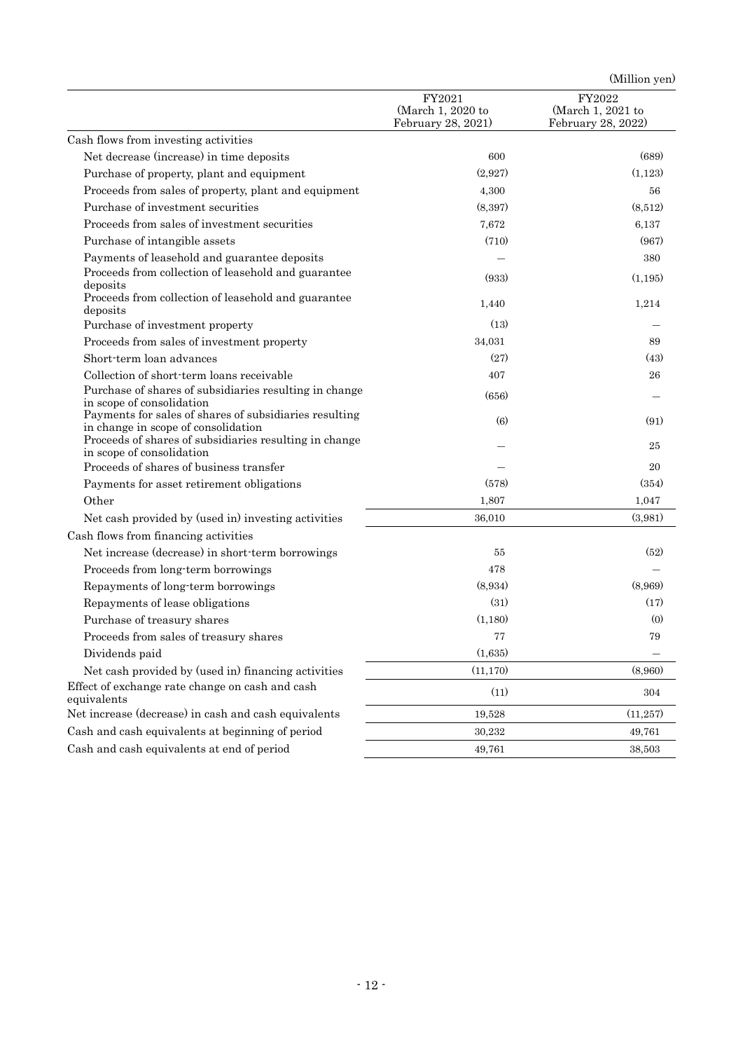|                                                                                                                                                         |                                                   | (Million yen)                                     |
|---------------------------------------------------------------------------------------------------------------------------------------------------------|---------------------------------------------------|---------------------------------------------------|
|                                                                                                                                                         | FY2021<br>(March 1, 2020 to<br>February 28, 2021) | FY2022<br>(March 1, 2021 to<br>February 28, 2022) |
| Cash flows from investing activities                                                                                                                    |                                                   |                                                   |
| Net decrease (increase) in time deposits                                                                                                                | 600                                               | (689)                                             |
| Purchase of property, plant and equipment                                                                                                               | (2,927)                                           | (1, 123)                                          |
| Proceeds from sales of property, plant and equipment                                                                                                    | 4,300                                             | 56                                                |
| Purchase of investment securities                                                                                                                       | (8,397)                                           | (8,512)                                           |
| Proceeds from sales of investment securities                                                                                                            | 7,672                                             | 6,137                                             |
| Purchase of intangible assets                                                                                                                           | (710)                                             | (967)                                             |
| Payments of leasehold and guarantee deposits                                                                                                            |                                                   | 380                                               |
| Proceeds from collection of leasehold and guarantee<br>deposits                                                                                         | (933)                                             | (1, 195)                                          |
| Proceeds from collection of leasehold and guarantee<br>deposits                                                                                         | 1,440                                             | 1,214                                             |
| Purchase of investment property                                                                                                                         | (13)                                              |                                                   |
| Proceeds from sales of investment property                                                                                                              | 34,031                                            | 89                                                |
| Short-term loan advances                                                                                                                                | (27)                                              | (43)                                              |
| Collection of short-term loans receivable                                                                                                               | 407                                               | 26                                                |
| Purchase of shares of subsidiaries resulting in change<br>in scope of consolidation                                                                     | (656)                                             |                                                   |
| Payments for sales of shares of subsidiaries resulting<br>in change in scope of consolidation<br>Proceeds of shares of subsidiaries resulting in change | (6)                                               | (91)<br>25                                        |
| in scope of consolidation                                                                                                                               |                                                   |                                                   |
| Proceeds of shares of business transfer                                                                                                                 |                                                   | 20                                                |
| Payments for asset retirement obligations                                                                                                               | (578)                                             | (354)                                             |
| Other                                                                                                                                                   | 1,807                                             | 1,047                                             |
| Net cash provided by (used in) investing activities                                                                                                     | 36,010                                            | (3,981)                                           |
| Cash flows from financing activities                                                                                                                    |                                                   |                                                   |
| Net increase (decrease) in short-term borrowings                                                                                                        | 55                                                | (52)                                              |
| Proceeds from long-term borrowings                                                                                                                      | 478                                               |                                                   |
| Repayments of long-term borrowings                                                                                                                      | (8,934)                                           | (8,969)                                           |
| Repayments of lease obligations                                                                                                                         | (31)                                              | (17)                                              |
| Purchase of treasury shares                                                                                                                             | (1,180)                                           | (0)                                               |
| Proceeds from sales of treasury shares                                                                                                                  | 77                                                | 79                                                |
| Dividends paid                                                                                                                                          | (1,635)                                           |                                                   |
| Net cash provided by (used in) financing activities                                                                                                     | (11, 170)                                         | (8,960)                                           |
| Effect of exchange rate change on cash and cash<br>equivalents                                                                                          | (11)                                              | 304                                               |
| Net increase (decrease) in cash and cash equivalents                                                                                                    | 19,528                                            | (11, 257)                                         |
| Cash and cash equivalents at beginning of period                                                                                                        | 30,232                                            | 49,761                                            |
| Cash and cash equivalents at end of period                                                                                                              | 49,761                                            | 38,503                                            |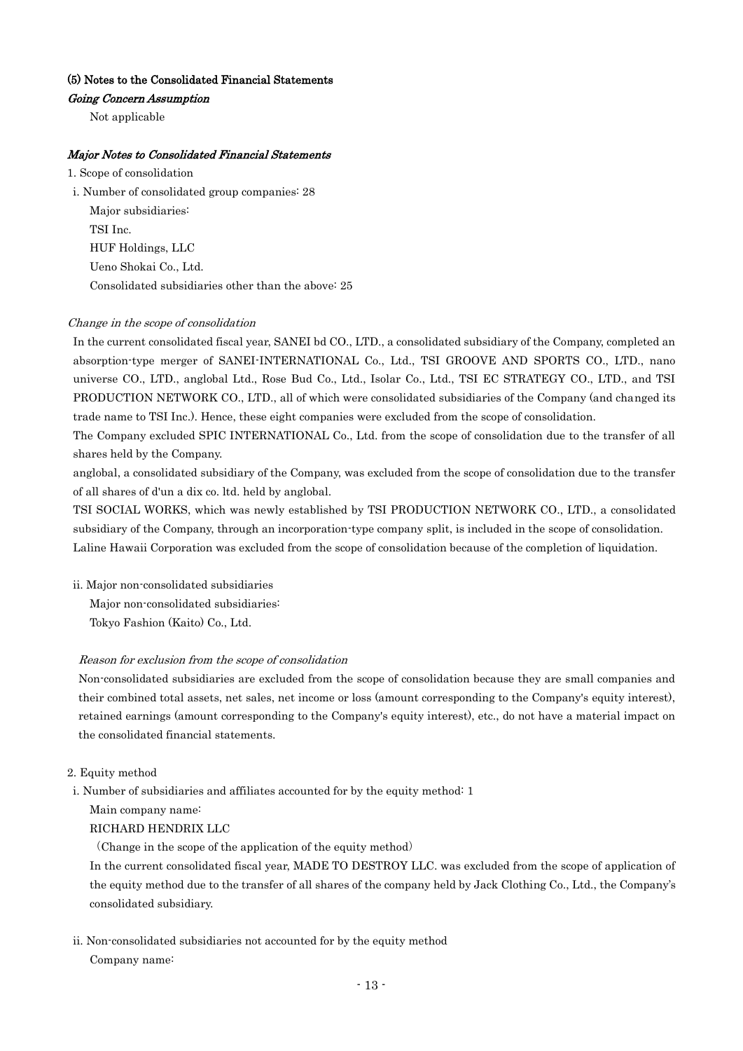## (5) Notes to the Consolidated Financial Statements

## Going Concern Assumption

Not applicable

## Major Notes to Consolidated Financial Statements

1. Scope of consolidation

i. Number of consolidated group companies: 28 Major subsidiaries: TSI Inc. HUF Holdings, LLC Ueno Shokai Co., Ltd. Consolidated subsidiaries other than the above: 25

#### Change in the scope of consolidation

In the current consolidated fiscal year, SANEI bd CO., LTD., a consolidated subsidiary of the Company, completed an absorption-type merger of SANEI-INTERNATIONAL Co., Ltd., TSI GROOVE AND SPORTS CO., LTD., nano universe CO., LTD., anglobal Ltd., Rose Bud Co., Ltd., Isolar Co., Ltd., TSI EC STRATEGY CO., LTD., and TSI PRODUCTION NETWORK CO., LTD., all of which were consolidated subsidiaries of the Company (and changed its trade name to TSI Inc.). Hence, these eight companies were excluded from the scope of consolidation.

The Company excluded SPIC INTERNATIONAL Co., Ltd. from the scope of consolidation due to the transfer of all shares held by the Company.

anglobal, a consolidated subsidiary of the Company, was excluded from the scope of consolidation due to the transfer of all shares of d'un a dix co. ltd. held by anglobal.

TSI SOCIAL WORKS, which was newly established by TSI PRODUCTION NETWORK CO., LTD., a consolidated subsidiary of the Company, through an incorporation-type company split, is included in the scope of consolidation. Laline Hawaii Corporation was excluded from the scope of consolidation because of the completion of liquidation.

ii. Major non-consolidated subsidiaries

Major non-consolidated subsidiaries:

Tokyo Fashion (Kaito) Co., Ltd.

#### Reason for exclusion from the scope of consolidation

Non-consolidated subsidiaries are excluded from the scope of consolidation because they are small companies and their combined total assets, net sales, net income or loss (amount corresponding to the Company's equity interest), retained earnings (amount corresponding to the Company's equity interest), etc., do not have a material impact on the consolidated financial statements.

## 2. Equity method

i. Number of subsidiaries and affiliates accounted for by the equity method: 1

Main company name:

RICHARD HENDRIX LLC

(Change in the scope of the application of the equity method)

In the current consolidated fiscal year, MADE TO DESTROY LLC. was excluded from the scope of application of the equity method due to the transfer of all shares of the company held by Jack Clothing Co., Ltd., the Company's consolidated subsidiary.

ii. Non-consolidated subsidiaries not accounted for by the equity method

Company name: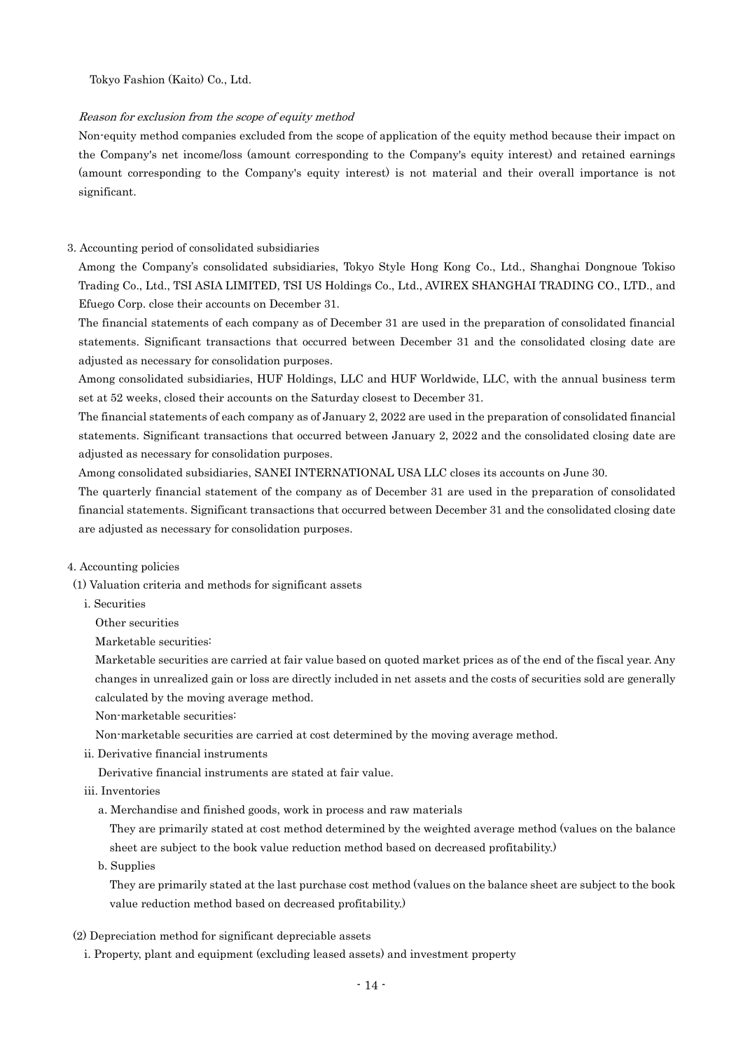Tokyo Fashion (Kaito) Co., Ltd.

#### Reason for exclusion from the scope of equity method

Non-equity method companies excluded from the scope of application of the equity method because their impact on the Company's net income/loss (amount corresponding to the Company's equity interest) and retained earnings (amount corresponding to the Company's equity interest) is not material and their overall importance is not significant.

#### 3. Accounting period of consolidated subsidiaries

Among the Company's consolidated subsidiaries, Tokyo Style Hong Kong Co., Ltd., Shanghai Dongnoue Tokiso Trading Co., Ltd., TSI ASIA LIMITED, TSI US Holdings Co., Ltd., AVIREX SHANGHAI TRADING CO., LTD., and Efuego Corp. close their accounts on December 31.

The financial statements of each company as of December 31 are used in the preparation of consolidated financial statements. Significant transactions that occurred between December 31 and the consolidated closing date are adjusted as necessary for consolidation purposes.

Among consolidated subsidiaries, HUF Holdings, LLC and HUF Worldwide, LLC, with the annual business term set at 52 weeks, closed their accounts on the Saturday closest to December 31.

The financial statements of each company as of January 2, 2022 are used in the preparation of consolidated financial statements. Significant transactions that occurred between January 2, 2022 and the consolidated closing date are adjusted as necessary for consolidation purposes.

Among consolidated subsidiaries, SANEI INTERNATIONAL USA LLC closes its accounts on June 30.

The quarterly financial statement of the company as of December 31 are used in the preparation of consolidated financial statements. Significant transactions that occurred between December 31 and the consolidated closing date are adjusted as necessary for consolidation purposes.

#### 4. Accounting policies

(1) Valuation criteria and methods for significant assets

i. Securities

Other securities

Marketable securities:

Marketable securities are carried at fair value based on quoted market prices as of the end of the fiscal year. Any changes in unrealized gain or loss are directly included in net assets and the costs of securities sold are generally calculated by the moving average method.

Non-marketable securities:

Non-marketable securities are carried at cost determined by the moving average method.

ii. Derivative financial instruments

Derivative financial instruments are stated at fair value.

- iii. Inventories
	- a. Merchandise and finished goods, work in process and raw materials

They are primarily stated at cost method determined by the weighted average method (values on the balance sheet are subject to the book value reduction method based on decreased profitability.)

b. Supplies

They are primarily stated at the last purchase cost method (values on the balance sheet are subject to the book value reduction method based on decreased profitability.)

- (2) Depreciation method for significant depreciable assets
	- i. Property, plant and equipment (excluding leased assets) and investment property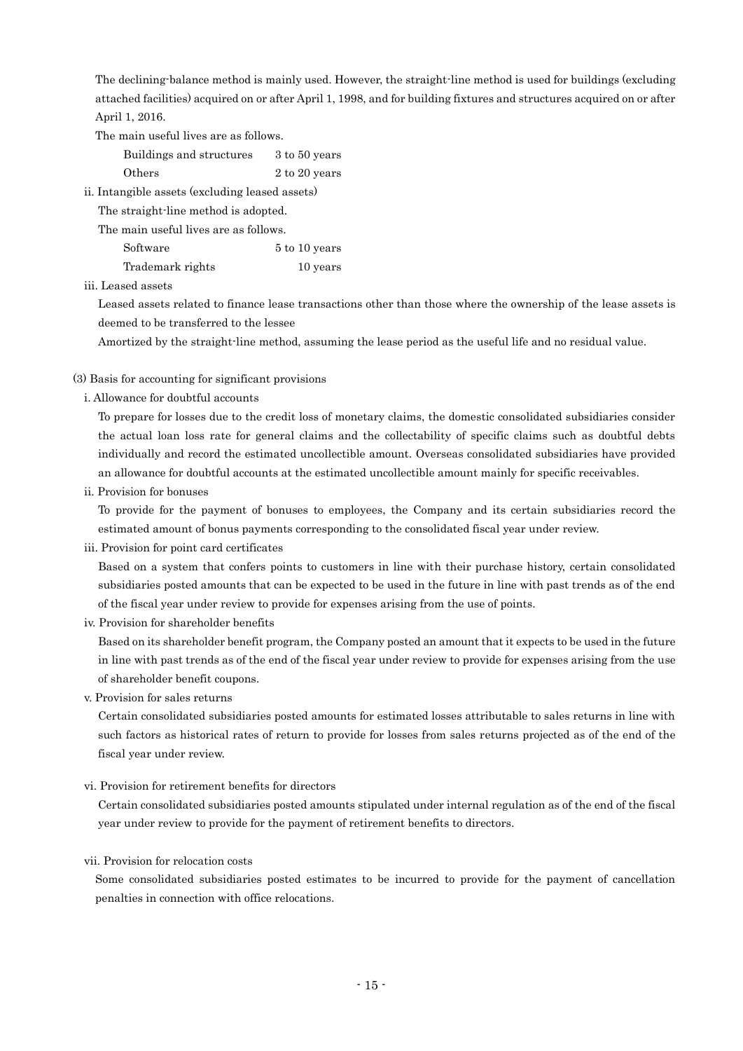The declining-balance method is mainly used. However, the straight-line method is used for buildings (excluding attached facilities) acquired on or after April 1, 1998, and for building fixtures and structures acquired on or after April 1, 2016.

The main useful lives are as follows.

Buildings and structures 3 to 50 years

Others 2 to 20 years

ii. Intangible assets (excluding leased assets)

The straight-line method is adopted.

The main useful lives are as follows.

| Software         | 5 to 10 years |
|------------------|---------------|
| Trademark rights | 10 years      |

## iii. Leased assets

Leased assets related to finance lease transactions other than those where the ownership of the lease assets is deemed to be transferred to the lessee

Amortized by the straight-line method, assuming the lease period as the useful life and no residual value.

## (3) Basis for accounting for significant provisions

i. Allowance for doubtful accounts

To prepare for losses due to the credit loss of monetary claims, the domestic consolidated subsidiaries consider the actual loan loss rate for general claims and the collectability of specific claims such as doubtful debts individually and record the estimated uncollectible amount. Overseas consolidated subsidiaries have provided an allowance for doubtful accounts at the estimated uncollectible amount mainly for specific receivables.

ii. Provision for bonuses

To provide for the payment of bonuses to employees, the Company and its certain subsidiaries record the estimated amount of bonus payments corresponding to the consolidated fiscal year under review.

iii. Provision for point card certificates

Based on a system that confers points to customers in line with their purchase history, certain consolidated subsidiaries posted amounts that can be expected to be used in the future in line with past trends as of the end of the fiscal year under review to provide for expenses arising from the use of points.

iv. Provision for shareholder benefits

Based on its shareholder benefit program, the Company posted an amount that it expects to be used in the future in line with past trends as of the end of the fiscal year under review to provide for expenses arising from the use of shareholder benefit coupons.

v. Provision for sales returns

Certain consolidated subsidiaries posted amounts for estimated losses attributable to sales returns in line with such factors as historical rates of return to provide for losses from sales returns projected as of the end of the fiscal year under review.

vi. Provision for retirement benefits for directors

Certain consolidated subsidiaries posted amounts stipulated under internal regulation as of the end of the fiscal year under review to provide for the payment of retirement benefits to directors.

## vii. Provision for relocation costs

Some consolidated subsidiaries posted estimates to be incurred to provide for the payment of cancellation penalties in connection with office relocations.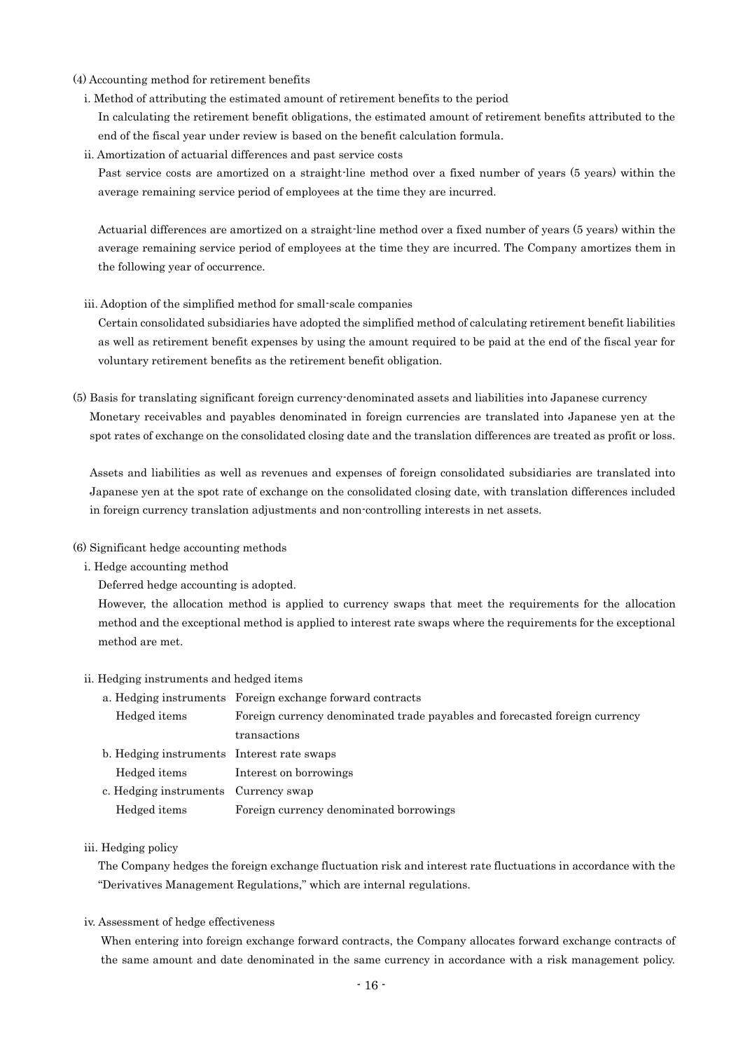- (4) Accounting method for retirement benefits
	- i. Method of attributing the estimated amount of retirement benefits to the period In calculating the retirement benefit obligations, the estimated amount of retirement benefits attributed to the end of the fiscal year under review is based on the benefit calculation formula.
	- ii. Amortization of actuarial differences and past service costs

Past service costs are amortized on a straight-line method over a fixed number of years (5 years) within the average remaining service period of employees at the time they are incurred.

Actuarial differences are amortized on a straight-line method over a fixed number of years (5 years) within the average remaining service period of employees at the time they are incurred. The Company amortizes them in the following year of occurrence.

iii. Adoption of the simplified method for small-scale companies

Certain consolidated subsidiaries have adopted the simplified method of calculating retirement benefit liabilities as well as retirement benefit expenses by using the amount required to be paid at the end of the fiscal year for voluntary retirement benefits as the retirement benefit obligation.

(5) Basis for translating significant foreign currency-denominated assets and liabilities into Japanese currency Monetary receivables and payables denominated in foreign currencies are translated into Japanese yen at the spot rates of exchange on the consolidated closing date and the translation differences are treated as profit or loss.

Assets and liabilities as well as revenues and expenses of foreign consolidated subsidiaries are translated into Japanese yen at the spot rate of exchange on the consolidated closing date, with translation differences included in foreign currency translation adjustments and non-controlling interests in net assets.

- (6) Significant hedge accounting methods
	- i. Hedge accounting method

Deferred hedge accounting is adopted.

However, the allocation method is applied to currency swaps that meet the requirements for the allocation method and the exceptional method is applied to interest rate swaps where the requirements for the exceptional method are met.

### ii. Hedging instruments and hedged items

a. Hedging instruments Foreign exchange forward contracts Hedged items Foreign currency denominated trade payables and forecasted foreign currency transactions b. Hedging instruments Interest rate swaps Hedged items Interest on borrowings c. Hedging instruments Currency swap Hedged items Foreign currency denominated borrowings

### iii. Hedging policy

The Company hedges the foreign exchange fluctuation risk and interest rate fluctuations in accordance with the "Derivatives Management Regulations," which are internal regulations.

iv. Assessment of hedge effectiveness

When entering into foreign exchange forward contracts, the Company allocates forward exchange contracts of the same amount and date denominated in the same currency in accordance with a risk management policy.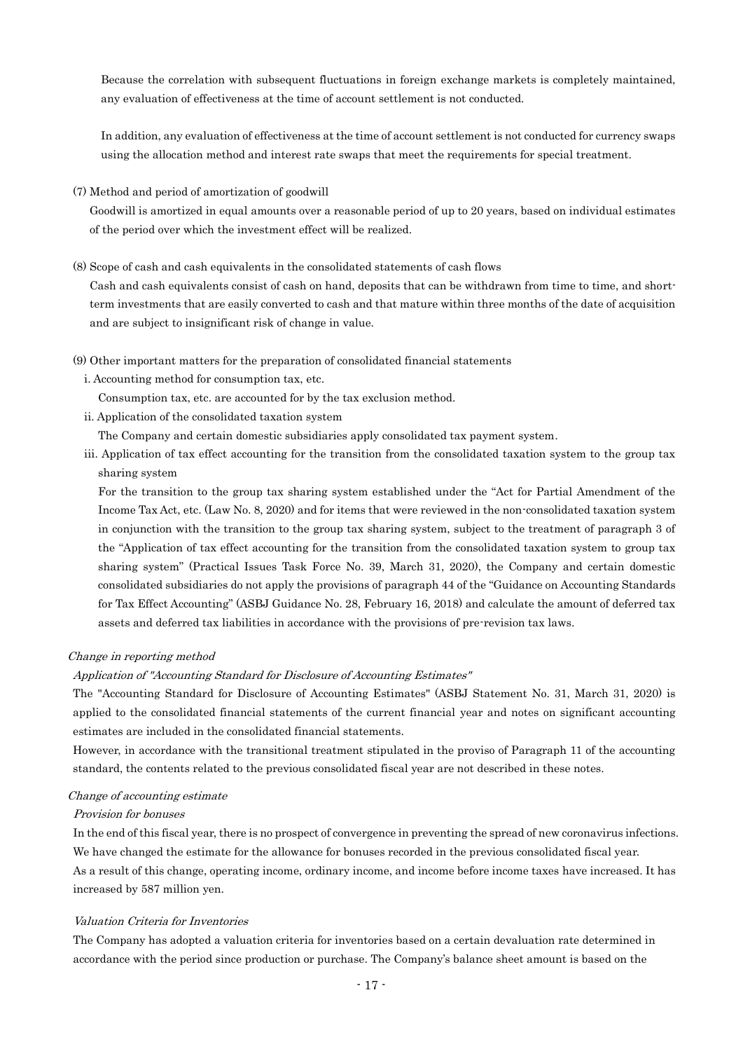Because the correlation with subsequent fluctuations in foreign exchange markets is completely maintained, any evaluation of effectiveness at the time of account settlement is not conducted.

In addition, any evaluation of effectiveness at the time of account settlement is not conducted for currency swaps using the allocation method and interest rate swaps that meet the requirements for special treatment.

(7) Method and period of amortization of goodwill

Goodwill is amortized in equal amounts over a reasonable period of up to 20 years, based on individual estimates of the period over which the investment effect will be realized.

(8) Scope of cash and cash equivalents in the consolidated statements of cash flows

Cash and cash equivalents consist of cash on hand, deposits that can be withdrawn from time to time, and shortterm investments that are easily converted to cash and that mature within three months of the date of acquisition and are subject to insignificant risk of change in value.

- (9) Other important matters for the preparation of consolidated financial statements
	- i. Accounting method for consumption tax, etc.

Consumption tax, etc. are accounted for by the tax exclusion method.

- ii. Application of the consolidated taxation system
- The Company and certain domestic subsidiaries apply consolidated tax payment system.
- iii. Application of tax effect accounting for the transition from the consolidated taxation system to the group tax sharing system

For the transition to the group tax sharing system established under the "Act for Partial Amendment of the Income Tax Act, etc. (Law No. 8, 2020) and for items that were reviewed in the non-consolidated taxation system in conjunction with the transition to the group tax sharing system, subject to the treatment of paragraph 3 of the "Application of tax effect accounting for the transition from the consolidated taxation system to group tax sharing system" (Practical Issues Task Force No. 39, March 31, 2020), the Company and certain domestic consolidated subsidiaries do not apply the provisions of paragraph 44 of the "Guidance on Accounting Standards for Tax Effect Accounting" (ASBJ Guidance No. 28, February 16, 2018) and calculate the amount of deferred tax assets and deferred tax liabilities in accordance with the provisions of pre-revision tax laws.

#### Change in reporting method

## Application of "Accounting Standard for Disclosure of Accounting Estimates"

The "Accounting Standard for Disclosure of Accounting Estimates" (ASBJ Statement No. 31, March 31, 2020) is applied to the consolidated financial statements of the current financial year and notes on significant accounting estimates are included in the consolidated financial statements.

However, in accordance with the transitional treatment stipulated in the proviso of Paragraph 11 of the accounting standard, the contents related to the previous consolidated fiscal year are not described in these notes.

#### Change of accounting estimate

#### Provision for bonuses

In the end of this fiscal year, there is no prospect of convergence in preventing the spread of new coronavirus infections. We have changed the estimate for the allowance for bonuses recorded in the previous consolidated fiscal year. As a result of this change, operating income, ordinary income, and income before income taxes have increased. It has increased by 587 million yen.

#### Valuation Criteria for Inventories

The Company has adopted a valuation criteria for inventories based on a certain devaluation rate determined in accordance with the period since production or purchase. The Company's balance sheet amount is based on the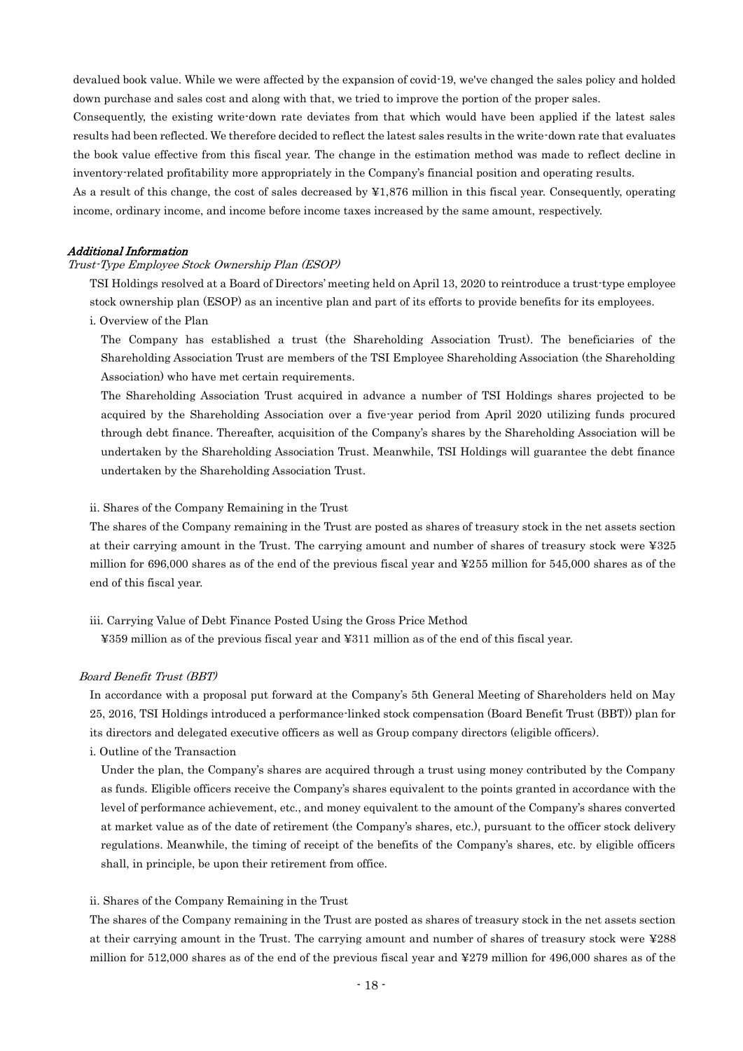devalued book value. While we were affected by the expansion of covid-19, we've changed the sales policy and holded down purchase and sales cost and along with that, we tried to improve the portion of the proper sales.

Consequently, the existing write-down rate deviates from that which would have been applied if the latest sales results had been reflected. We therefore decided to reflect the latest sales results in the write-down rate that evaluates the book value effective from this fiscal year. The change in the estimation method was made to reflect decline in inventory-related profitability more appropriately in the Company's financial position and operating results.

As a result of this change, the cost of sales decreased by ¥1,876 million in this fiscal year. Consequently, operating income, ordinary income, and income before income taxes increased by the same amount, respectively.

## Additional Information

#### Trust-Type Employee Stock Ownership Plan (ESOP)

TSI Holdings resolved at a Board of Directors' meeting held on April 13, 2020 to reintroduce a trust-type employee stock ownership plan (ESOP) as an incentive plan and part of its efforts to provide benefits for its employees.

i. Overview of the Plan

The Company has established a trust (the Shareholding Association Trust). The beneficiaries of the Shareholding Association Trust are members of the TSI Employee Shareholding Association (the Shareholding Association) who have met certain requirements.

The Shareholding Association Trust acquired in advance a number of TSI Holdings shares projected to be acquired by the Shareholding Association over a five-year period from April 2020 utilizing funds procured through debt finance. Thereafter, acquisition of the Company's shares by the Shareholding Association will be undertaken by the Shareholding Association Trust. Meanwhile, TSI Holdings will guarantee the debt finance undertaken by the Shareholding Association Trust.

#### ii. Shares of the Company Remaining in the Trust

The shares of the Company remaining in the Trust are posted as shares of treasury stock in the net assets section at their carrying amount in the Trust. The carrying amount and number of shares of treasury stock were ¥325 million for 696,000 shares as of the end of the previous fiscal year and ¥255 million for 545,000 shares as of the end of this fiscal year.

#### iii. Carrying Value of Debt Finance Posted Using the Gross Price Method

¥359 million as of the previous fiscal year and ¥311 million as of the end of this fiscal year.

#### Board Benefit Trust (BBT)

In accordance with a proposal put forward at the Company's 5th General Meeting of Shareholders held on May 25, 2016, TSI Holdings introduced a performance-linked stock compensation (Board Benefit Trust (BBT)) plan for its directors and delegated executive officers as well as Group company directors (eligible officers).

i. Outline of the Transaction

Under the plan, the Company's shares are acquired through a trust using money contributed by the Company as funds. Eligible officers receive the Company's shares equivalent to the points granted in accordance with the level of performance achievement, etc., and money equivalent to the amount of the Company's shares converted at market value as of the date of retirement (the Company's shares, etc.), pursuant to the officer stock delivery regulations. Meanwhile, the timing of receipt of the benefits of the Company's shares, etc. by eligible officers shall, in principle, be upon their retirement from office.

#### ii. Shares of the Company Remaining in the Trust

The shares of the Company remaining in the Trust are posted as shares of treasury stock in the net assets section at their carrying amount in the Trust. The carrying amount and number of shares of treasury stock were ¥288 million for 512,000 shares as of the end of the previous fiscal year and ¥279 million for 496,000 shares as of the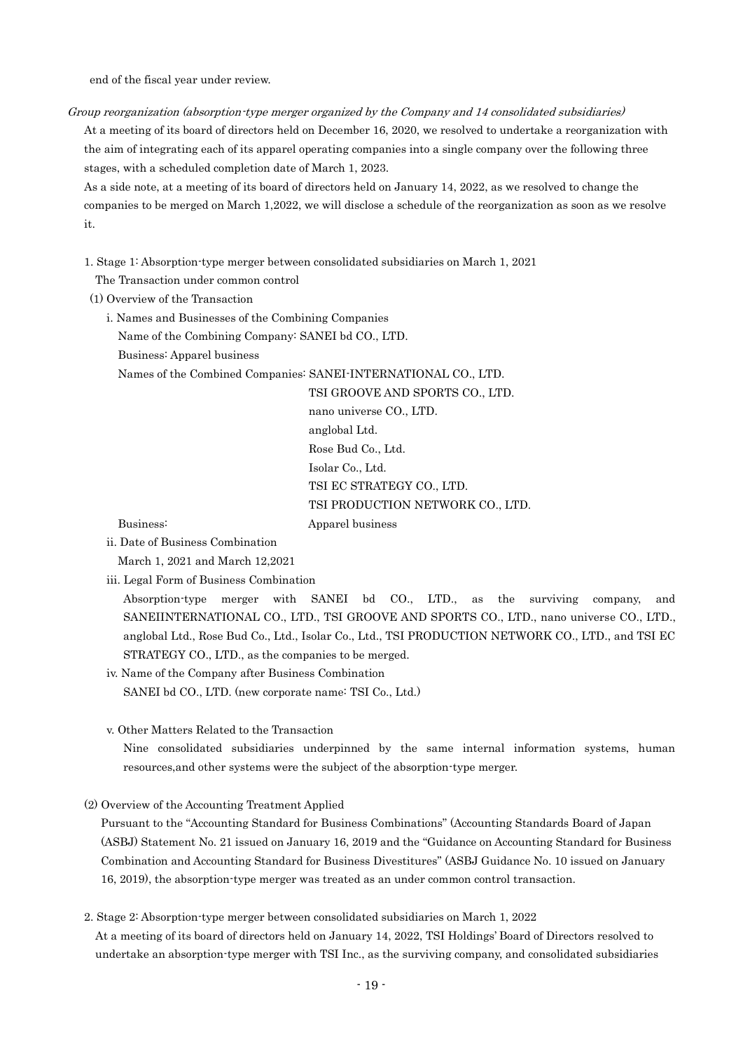end of the fiscal year under review.

Group reorganization (absorption-type merger organized by the Company and 14 consolidated subsidiaries)

At a meeting of its board of directors held on December 16, 2020, we resolved to undertake a reorganization with the aim of integrating each of its apparel operating companies into a single company over the following three stages, with a scheduled completion date of March 1, 2023.

As a side note, at a meeting of its board of directors held on January 14, 2022, as we resolved to change the companies to be merged on March 1,2022, we will disclose a schedule of the reorganization as soon as we resolve it.

1. Stage 1: Absorption-type merger between consolidated subsidiaries on March 1, 2021

The Transaction under common control

(1) Overview of the Transaction

i. Names and Businesses of the Combining Companies

Name of the Combining Company: SANEI bd CO., LTD.

Business: Apparel business

Names of the Combined Companies: SANEI-INTERNATIONAL CO., LTD.

TSI GROOVE AND SPORTS CO., LTD. nano universe CO., LTD. anglobal Ltd. Rose Bud Co., Ltd. Isolar Co., Ltd. TSI EC STRATEGY CO., LTD. TSI PRODUCTION NETWORK CO., LTD. Business: Apparel business

- ii. Date of Business Combination
	- March 1, 2021 and March 12,2021
- iii. Legal Form of Business Combination

Absorption-type merger with SANEI bd CO., LTD., as the surviving company, and SANEIINTERNATIONAL CO., LTD., TSI GROOVE AND SPORTS CO., LTD., nano universe CO., LTD., anglobal Ltd., Rose Bud Co., Ltd., Isolar Co., Ltd., TSI PRODUCTION NETWORK CO., LTD., and TSI EC STRATEGY CO., LTD., as the companies to be merged.

iv. Name of the Company after Business Combination SANEI bd CO., LTD. (new corporate name: TSI Co., Ltd.)

v. Other Matters Related to the Transaction

Nine consolidated subsidiaries underpinned by the same internal information systems, human resources,and other systems were the subject of the absorption-type merger.

(2) Overview of the Accounting Treatment Applied

Pursuant to the "Accounting Standard for Business Combinations" (Accounting Standards Board of Japan (ASBJ) Statement No. 21 issued on January 16, 2019 and the "Guidance on Accounting Standard for Business Combination and Accounting Standard for Business Divestitures" (ASBJ Guidance No. 10 issued on January 16, 2019), the absorption-type merger was treated as an under common control transaction.

2. Stage 2: Absorption-type merger between consolidated subsidiaries on March 1, 2022

At a meeting of its board of directors held on January 14, 2022, TSI Holdings' Board of Directors resolved to undertake an absorption-type merger with TSI Inc., as the surviving company, and consolidated subsidiaries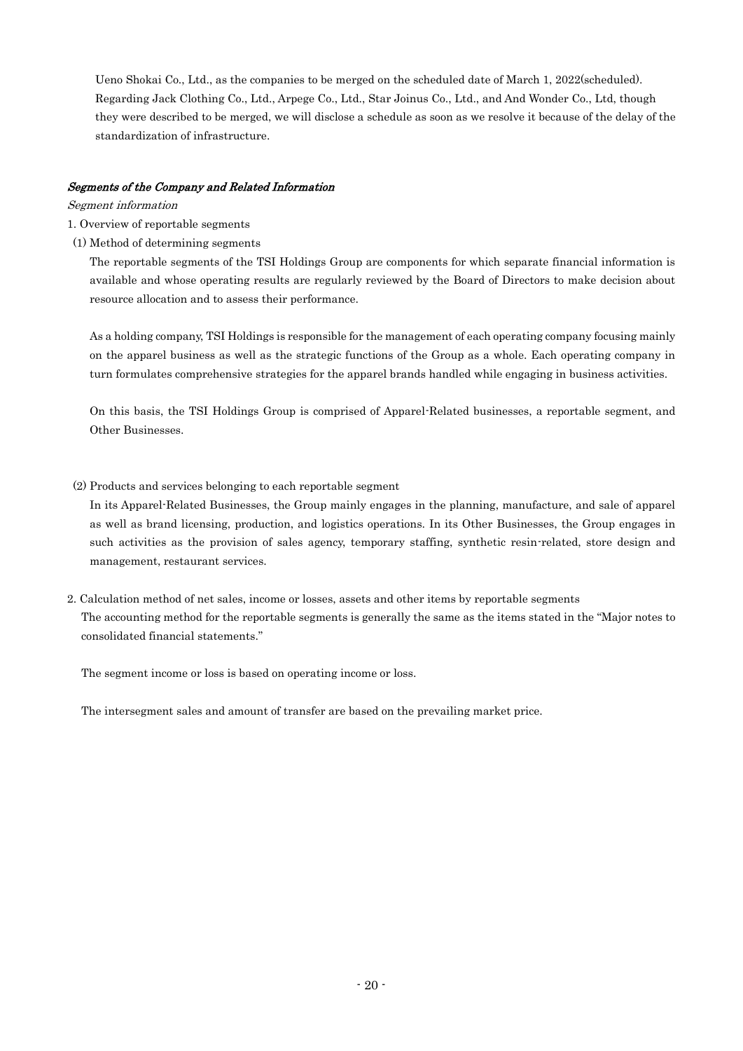Ueno Shokai Co., Ltd., as the companies to be merged on the scheduled date of March 1, 2022(scheduled). Regarding Jack Clothing Co., Ltd., Arpege Co., Ltd., Star Joinus Co., Ltd., and And Wonder Co., Ltd, though they were described to be merged, we will disclose a schedule as soon as we resolve it because of the delay of the standardization of infrastructure.

## Segments of the Company and Related Information

#### Segment information

- 1. Overview of reportable segments
- (1) Method of determining segments

The reportable segments of the TSI Holdings Group are components for which separate financial information is available and whose operating results are regularly reviewed by the Board of Directors to make decision about resource allocation and to assess their performance.

As a holding company, TSI Holdings is responsible for the management of each operating company focusing mainly on the apparel business as well as the strategic functions of the Group as a whole. Each operating company in turn formulates comprehensive strategies for the apparel brands handled while engaging in business activities.

On this basis, the TSI Holdings Group is comprised of Apparel-Related businesses, a reportable segment, and Other Businesses.

(2) Products and services belonging to each reportable segment

In its Apparel-Related Businesses, the Group mainly engages in the planning, manufacture, and sale of apparel as well as brand licensing, production, and logistics operations. In its Other Businesses, the Group engages in such activities as the provision of sales agency, temporary staffing, synthetic resin-related, store design and management, restaurant services.

2. Calculation method of net sales, income or losses, assets and other items by reportable segments The accounting method for the reportable segments is generally the same as the items stated in the "Major notes to consolidated financial statements."

The segment income or loss is based on operating income or loss.

The intersegment sales and amount of transfer are based on the prevailing market price.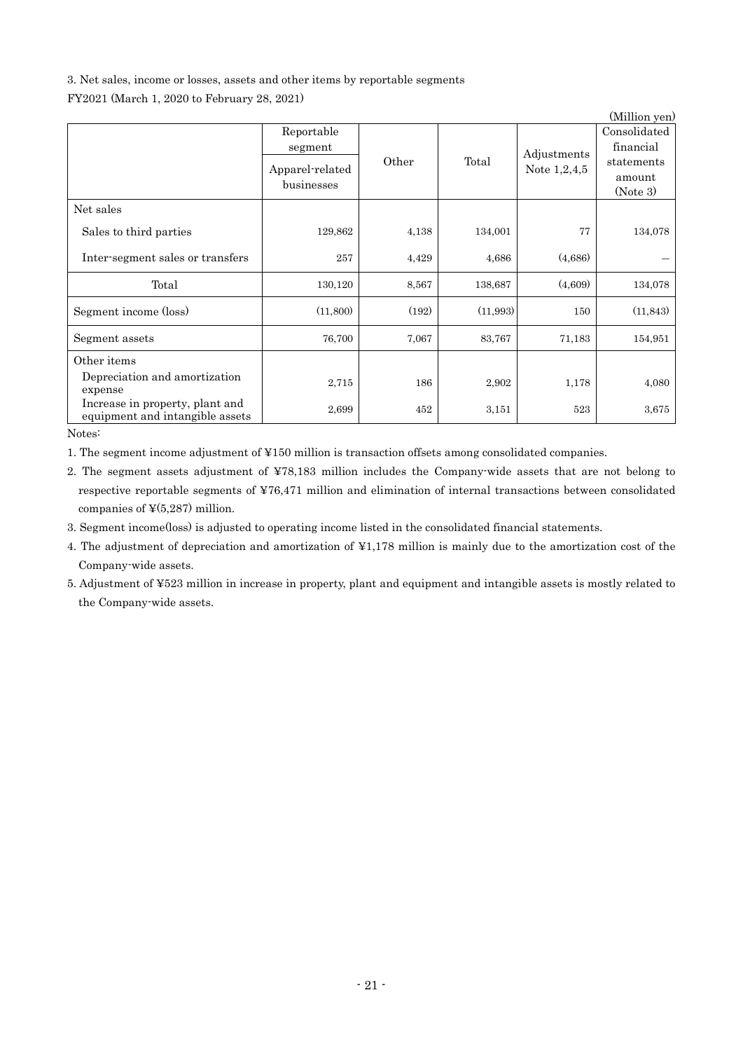## 3. Net sales, income or losses, assets and other items by reportable segments

FY2021 (March 1, 2020 to February 28, 2021)

|                                                                    |                                          |       |          |                               | (Million yen)                                     |
|--------------------------------------------------------------------|------------------------------------------|-------|----------|-------------------------------|---------------------------------------------------|
|                                                                    | Reportable<br>segment<br>Apparel-related | Other | Total    | Adjustments<br>Note $1,2,4,5$ | Consolidated<br>financial<br>statements<br>amount |
|                                                                    | businesses                               |       |          |                               | (Note 3)                                          |
| Net sales                                                          |                                          |       |          |                               |                                                   |
| Sales to third parties                                             | 129,862                                  | 4,138 | 134,001  | 77                            | 134,078                                           |
| Inter-segment sales or transfers                                   | 257                                      | 4,429 | 4,686    | (4,686)                       |                                                   |
| Total                                                              | 130,120                                  | 8,567 | 138,687  | (4,609)                       | 134,078                                           |
| Segment income (loss)                                              | (11,800)                                 | (192) | (11,993) | 150                           | (11, 843)                                         |
| Segment assets                                                     | 76,700                                   | 7,067 | 83,767   | 71,183                        | 154,951                                           |
| Other items                                                        |                                          |       |          |                               |                                                   |
| Depreciation and amortization<br>expense                           | 2,715                                    | 186   | 2,902    | 1,178                         | 4,080                                             |
| Increase in property, plant and<br>equipment and intangible assets | 2,699                                    | 452   | 3,151    | 523                           | 3,675                                             |

Notes:

1. The segment income adjustment of ¥150 million is transaction offsets among consolidated companies.

2. The segment assets adjustment of ¥78,183 million includes the Company-wide assets that are not belong to respective reportable segments of ¥76,471 million and elimination of internal transactions between consolidated companies of  $\frac{4}{5,287}$  million.

3. Segment income(loss) is adjusted to operating income listed in the consolidated financial statements.

- 4. The adjustment of depreciation and amortization of ¥1,178 million is mainly due to the amortization cost of the Company-wide assets.
- 5. Adjustment of ¥523 million in increase in property, plant and equipment and intangible assets is mostly related to the Company-wide assets.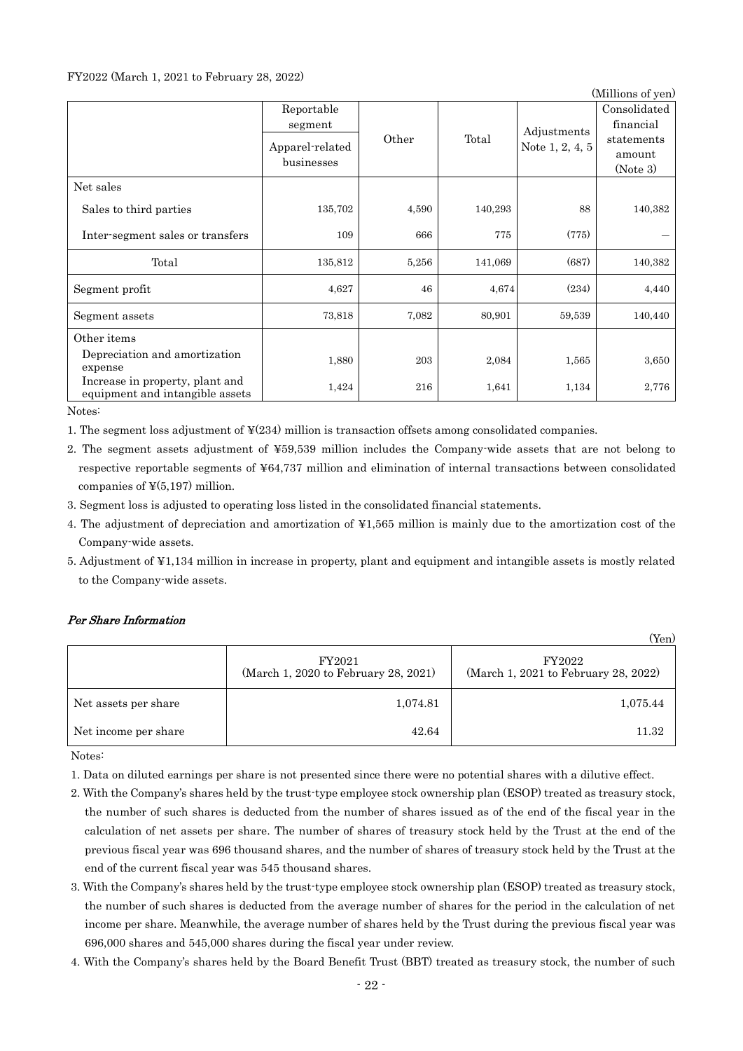## FY2022 (March 1, 2021 to February 28, 2022)

|                                                                    |                                                        |       |         |                                | (Millions of yen)                                             |
|--------------------------------------------------------------------|--------------------------------------------------------|-------|---------|--------------------------------|---------------------------------------------------------------|
|                                                                    | Reportable<br>segment<br>Apparel-related<br>businesses | Other | Total   | Adjustments<br>Note 1, 2, 4, 5 | Consolidated<br>financial<br>statements<br>amount<br>(Note 3) |
| Net sales                                                          |                                                        |       |         |                                |                                                               |
| Sales to third parties                                             | 135,702                                                | 4,590 | 140,293 | 88                             | 140,382                                                       |
| Inter-segment sales or transfers                                   | 109                                                    | 666   | 775     | (775)                          |                                                               |
| Total                                                              | 135,812                                                | 5,256 | 141,069 | (687)                          | 140,382                                                       |
| Segment profit                                                     | 4,627                                                  | 46    | 4,674   | (234)                          | 4,440                                                         |
| Segment assets                                                     | 73,818                                                 | 7,082 | 80,901  | 59,539                         | 140,440                                                       |
| Other items                                                        |                                                        |       |         |                                |                                                               |
| Depreciation and amortization<br>expense                           | 1,880                                                  | 203   | 2,084   | 1,565                          | 3,650                                                         |
| Increase in property, plant and<br>equipment and intangible assets | 1,424                                                  | 216   | 1,641   | 1,134                          | 2,776                                                         |

Notes:

- 1. The segment loss adjustment of ¥(234) million is transaction offsets among consolidated companies.
- 2. The segment assets adjustment of ¥59,539 million includes the Company-wide assets that are not belong to respective reportable segments of ¥64,737 million and elimination of internal transactions between consolidated companies of  $\frac{1}{2}(5,197)$  million.
- 3. Segment loss is adjusted to operating loss listed in the consolidated financial statements.
- 4. The adjustment of depreciation and amortization of ¥1,565 million is mainly due to the amortization cost of the Company-wide assets.
- 5. Adjustment of ¥1,134 million in increase in property, plant and equipment and intangible assets is mostly related to the Company-wide assets.

## Per Share Information

|                      |                                                | (Yen)                                          |
|----------------------|------------------------------------------------|------------------------------------------------|
|                      | FY2021<br>(March 1, 2020 to February 28, 2021) | FY2022<br>(March 1, 2021 to February 28, 2022) |
| Net assets per share | 1,074.81                                       | 1,075.44                                       |
| Net income per share | 42.64                                          | 11.32                                          |

Notes:

- 1. Data on diluted earnings per share is not presented since there were no potential shares with a dilutive effect.
- 2. With the Company's shares held by the trust-type employee stock ownership plan (ESOP) treated as treasury stock, the number of such shares is deducted from the number of shares issued as of the end of the fiscal year in the calculation of net assets per share. The number of shares of treasury stock held by the Trust at the end of the previous fiscal year was 696 thousand shares, and the number of shares of treasury stock held by the Trust at the end of the current fiscal year was 545 thousand shares.
- 3. With the Company's shares held by the trust-type employee stock ownership plan (ESOP) treated as treasury stock, the number of such shares is deducted from the average number of shares for the period in the calculation of net income per share. Meanwhile, the average number of shares held by the Trust during the previous fiscal year was 696,000 shares and 545,000 shares during the fiscal year under review.
- 4. With the Company's shares held by the Board Benefit Trust (BBT) treated as treasury stock, the number of such